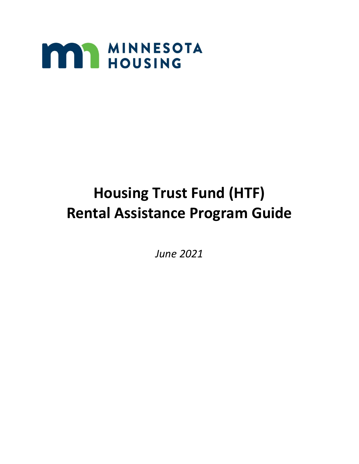

# **Housing Trust Fund (HTF) Rental Assistance Program Guide**

*June 2021*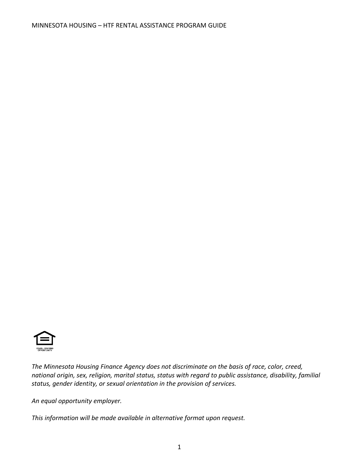

*The Minnesota Housing Finance Agency does not discriminate on the basis of race, color, creed, national origin, sex, religion, marital status, status with regard to public assistance, disability, familial status, gender identity, or sexual orientation in the provision of services.*

*An equal opportunity employer.*

*This information will be made available in alternative format upon request.*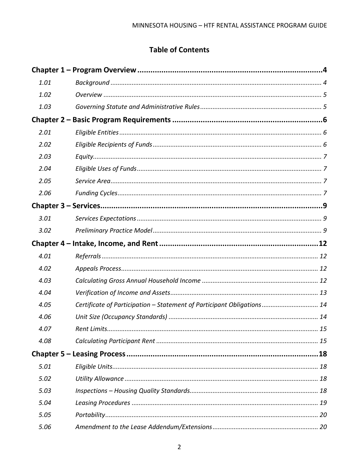# **Table of Contents**

| 1.01 |                                                                        |  |
|------|------------------------------------------------------------------------|--|
| 1.02 |                                                                        |  |
| 1.03 |                                                                        |  |
|      |                                                                        |  |
| 2.01 |                                                                        |  |
| 2.02 |                                                                        |  |
| 2.03 |                                                                        |  |
| 2.04 |                                                                        |  |
| 2.05 |                                                                        |  |
| 2.06 |                                                                        |  |
|      |                                                                        |  |
| 3.01 |                                                                        |  |
| 3.02 |                                                                        |  |
|      |                                                                        |  |
| 4.01 |                                                                        |  |
| 4.02 |                                                                        |  |
| 4.03 |                                                                        |  |
| 4.04 |                                                                        |  |
| 4.05 | Certificate of Participation - Statement of Participant Obligations 14 |  |
| 4.06 |                                                                        |  |
| 4.07 |                                                                        |  |
| 4.08 |                                                                        |  |
|      |                                                                        |  |
| 5.01 |                                                                        |  |
| 5.02 |                                                                        |  |
| 5.03 |                                                                        |  |
| 5.04 |                                                                        |  |
| 5.05 |                                                                        |  |
| 5.06 |                                                                        |  |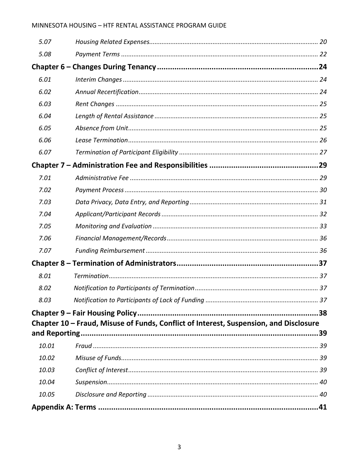### MINNESOTA HOUSING - HTF RENTAL ASSISTANCE PROGRAM GUIDE

| 5.07  |                                                                                       |    |
|-------|---------------------------------------------------------------------------------------|----|
| 5.08  |                                                                                       |    |
|       |                                                                                       |    |
| 6.01  |                                                                                       |    |
| 6.02  |                                                                                       |    |
| 6.03  |                                                                                       |    |
| 6.04  |                                                                                       |    |
| 6.05  |                                                                                       |    |
| 6.06  |                                                                                       |    |
| 6.07  |                                                                                       |    |
|       |                                                                                       |    |
| 7.01  |                                                                                       |    |
| 7.02  |                                                                                       |    |
| 7.03  |                                                                                       |    |
| 7.04  |                                                                                       |    |
| 7.05  |                                                                                       |    |
| 7.06  |                                                                                       |    |
| 7.07  |                                                                                       |    |
|       |                                                                                       |    |
| 8.01  |                                                                                       |    |
| 8.02  |                                                                                       |    |
| 8.03  |                                                                                       | 37 |
|       |                                                                                       | 38 |
|       | Chapter 10 - Fraud, Misuse of Funds, Conflict of Interest, Suspension, and Disclosure |    |
|       |                                                                                       |    |
| 10.01 |                                                                                       |    |
| 10.02 |                                                                                       |    |
| 10.03 |                                                                                       |    |
| 10.04 |                                                                                       |    |
| 10.05 |                                                                                       |    |
|       |                                                                                       |    |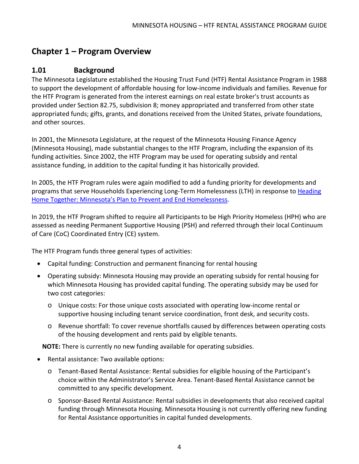# <span id="page-5-0"></span>**Chapter 1 – Program Overview**

### <span id="page-5-1"></span>**1.01 Background**

The Minnesota Legislature established the Housing Trust Fund (HTF) Rental Assistance Program in 1988 to support the development of affordable housing for low-income individuals and families. Revenue for the HTF Program is generated from the interest earnings on real estate broker's trust accounts as provided under Section 82.75, subdivision 8; money appropriated and transferred from other state appropriated funds; gifts, grants, and donations received from the United States, private foundations, and other sources.

In 2001, the Minnesota Legislature, at the request of the Minnesota Housing Finance Agency (Minnesota Housing), made substantial changes to the HTF Program, including the expansion of its funding activities. Since 2002, the HTF Program may be used for operating subsidy and rental assistance funding, in addition to the capital funding it has historically provided.

In 2005, the HTF Program rules were again modified to add a funding priority for developments and programs that serve Households Experiencing Long-Term Homelessness (LTH) in response t[o Heading](https://www.mnhousing.gov/sites/multifamily/headinghome)  [Home Together: Minnesota's Plan to Prevent and End Homelessness.](https://www.mnhousing.gov/sites/multifamily/headinghome)

In 2019, the HTF Program shifted to require all Participants to be High Priority Homeless (HPH) who are assessed as needing Permanent Supportive Housing (PSH) and referred through their local Continuum of Care (CoC) Coordinated Entry (CE) system.

The HTF Program funds three general types of activities:

- Capital funding: Construction and permanent financing for rental housing
- Operating subsidy: Minnesota Housing may provide an operating subsidy for rental housing for which Minnesota Housing has provided capital funding. The operating subsidy may be used for two cost categories:
	- o Unique costs: For those unique costs associated with operating low-income rental or supportive housing including tenant service coordination, front desk, and security costs.
	- o Revenue shortfall: To cover revenue shortfalls caused by differences between operating costs of the housing development and rents paid by eligible tenants.

**NOTE:** There is currently no new funding available for operating subsidies.

- Rental assistance: Two available options:
	- o Tenant-Based Rental Assistance: Rental subsidies for eligible housing of the Participant's choice within the Administrator's Service Area. Tenant-Based Rental Assistance cannot be committed to any specific development.
	- o Sponsor-Based Rental Assistance: Rental subsidies in developments that also received capital funding through Minnesota Housing. Minnesota Housing is not currently offering new funding for Rental Assistance opportunities in capital funded developments.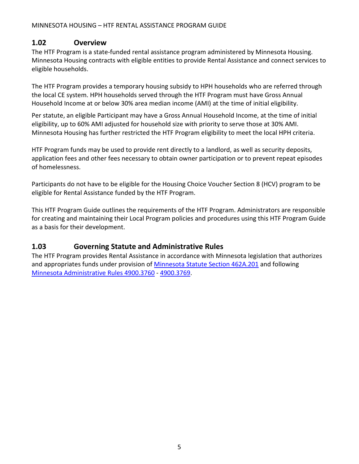#### MINNESOTA HOUSING – HTF RENTAL ASSISTANCE PROGRAM GUIDE

### <span id="page-6-0"></span>**1.02 Overview**

The HTF Program is a state-funded rental assistance program administered by Minnesota Housing. Minnesota Housing contracts with eligible entities to provide Rental Assistance and connect services to eligible households.

The HTF Program provides a temporary housing subsidy to HPH households who are referred through the local CE system. HPH households served through the HTF Program must have Gross Annual Household Income at or below 30% area median income (AMI) at the time of initial eligibility.

Per statute, an eligible Participant may have a Gross Annual Household Income, at the time of initial eligibility, up to 60% AMI adjusted for household size with priority to serve those at 30% AMI. Minnesota Housing has further restricted the HTF Program eligibility to meet the local HPH criteria.

HTF Program funds may be used to provide rent directly to a landlord, as well as security deposits, application fees and other fees necessary to obtain owner participation or to prevent repeat episodes of homelessness.

Participants do not have to be eligible for the Housing Choice Voucher Section 8 (HCV) program to be eligible for Rental Assistance funded by the HTF Program.

This HTF Program Guide outlines the requirements of the HTF Program. Administrators are responsible for creating and maintaining their Local Program policies and procedures using this HTF Program Guide as a basis for their development.

# <span id="page-6-1"></span>**1.03 Governing Statute and Administrative Rules**

The HTF Program provides Rental Assistance in accordance with Minnesota legislation that authorizes and appropriates funds under provision of [Minnesota Statute Section 462A.201](https://www.revisor.mn.gov/statutes/cite/462A.201) and following [Minnesota Administrative Rules 4900.3760](https://www.revisor.mn.gov/rules/4900.3760/) - [4900.3769.](https://www.revisor.mn.gov/rules/4900.3769/)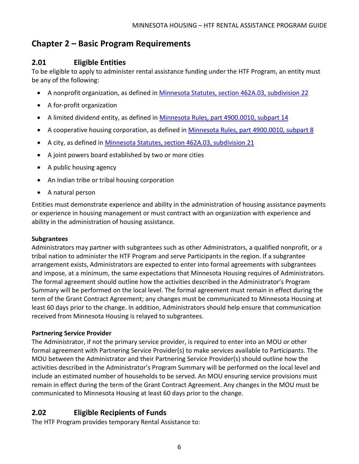# <span id="page-7-0"></span>**Chapter 2 – Basic Program Requirements**

### <span id="page-7-1"></span>**2.01 Eligible Entities**

To be eligible to apply to administer rental assistance funding under the HTF Program, an entity must be any of the following:

- A nonprofit organization, as defined in [Minnesota Statutes, section 462A.03, subdivision 22](https://www.revisor.mn.gov/statutes/cite/462A.03#stat.462A.03.22)
- A for-profit organization
- A limited dividend entity, as defined in [Minnesota Rules, part 4900.0010, subpart 14](https://www.revisor.mn.gov/rules/4900.0010/#rule.4900.0010.14)
- A cooperative housing corporation, as defined in [Minnesota Rules, part 4900.0010, subpart 8](https://www.revisor.mn.gov/rules/4900.0010/#rule.4900.0010.8)
- A city, as defined in [Minnesota Statutes, section 462A.03, subdivision 21](https://www.revisor.mn.gov/statutes/cite/462A.03#stat.462A.03.21)
- A joint powers board established by two or more cities
- A public housing agency
- An Indian tribe or tribal housing corporation
- A natural person

Entities must demonstrate experience and ability in the administration of housing assistance payments or experience in housing management or must contract with an organization with experience and ability in the administration of housing assistance.

#### **Subgrantees**

Administrators may partner with subgrantees such as other Administrators, a qualified nonprofit, or a tribal nation to administer the HTF Program and serve Participants in the region. If a subgrantee arrangement exists, Administrators are expected to enter into formal agreements with subgrantees and impose, at a minimum, the same expectations that Minnesota Housing requires of Administrators. The formal agreement should outline how the activities described in the Administrator's Program Summary will be performed on the local level. The formal agreement must remain in effect during the term of the Grant Contract Agreement; any changes must be communicated to Minnesota Housing at least 60 days prior to the change. In addition, Administrators should help ensure that communication received from Minnesota Housing is relayed to subgrantees.

#### **Partnering Service Provider**

The Administrator, if not the primary service provider, is required to enter into an MOU or other formal agreement with Partnering Service Provider(s) to make services available to Participants. The MOU between the Administrator and their Partnering Service Provider(s) should outline how the activities described in the Administrator's Program Summary will be performed on the local level and include an estimated number of households to be served. An MOU ensuring service provisions must remain in effect during the term of the Grant Contract Agreement. Any changes in the MOU must be communicated to Minnesota Housing at least 60 days prior to the change.

### <span id="page-7-2"></span>**2.02 Eligible Recipients of Funds**

The HTF Program provides temporary Rental Assistance to: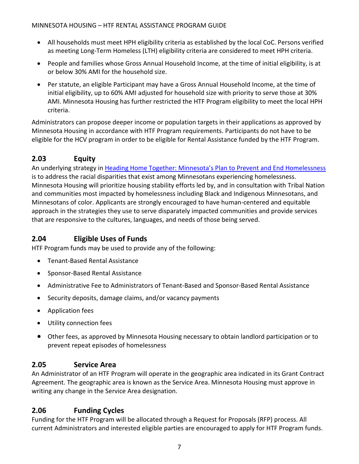- All households must meet HPH eligibility criteria as established by the local CoC. Persons verified as meeting Long-Term Homeless (LTH) eligibility criteria are considered to meet HPH criteria.
- People and families whose Gross Annual Household Income, at the time of initial eligibility, is at or below 30% AMI for the household size.
- Per statute, an eligible Participant may have a Gross Annual Household Income, at the time of initial eligibility, up to 60% AMI adjusted for household size with priority to serve those at 30% AMI. Minnesota Housing has further restricted the HTF Program eligibility to meet the local HPH criteria.

Administrators can propose deeper income or population targets in their applications as approved by Minnesota Housing in accordance with HTF Program requirements. Participants do not have to be eligible for the HCV program in order to be eligible for Rental Assistance funded by the HTF Program.

# <span id="page-8-0"></span>**2.03 Equity**

An underlying strategy in [Heading Home Together: Minnesota's Plan to Prevent and End Homelessness](https://www.mnhousing.gov/sites/multifamily/headinghome) is to address the racial disparities that exist among Minnesotans experiencing homelessness. Minnesota Housing will prioritize housing stability efforts led by, and in consultation with Tribal Nation and communities most impacted by homelessness including Black and Indigenous Minnesotans, and Minnesotans of color. Applicants are strongly encouraged to have human-centered and equitable approach in the strategies they use to serve disparately impacted communities and provide services that are responsive to the cultures, languages, and needs of those being served.

# <span id="page-8-1"></span>**2.04 Eligible Uses of Funds**

HTF Program funds may be used to provide any of the following:

- Tenant-Based Rental Assistance
- Sponsor-Based Rental Assistance
- Administrative Fee to Administrators of Tenant-Based and Sponsor-Based Rental Assistance
- Security deposits, damage claims, and/or vacancy payments
- Application fees
- Utility connection fees
- Other fees, as approved by Minnesota Housing necessary to obtain landlord participation or to prevent repeat episodes of homelessness

# <span id="page-8-2"></span>**2.05 Service Area**

An Administrator of an HTF Program will operate in the geographic area indicated in its Grant Contract Agreement. The geographic area is known as the Service Area. Minnesota Housing must approve in writing any change in the Service Area designation.

# <span id="page-8-3"></span>**2.06 Funding Cycles**

Funding for the HTF Program will be allocated through a Request for Proposals (RFP) process. All current Administrators and interested eligible parties are encouraged to apply for HTF Program funds.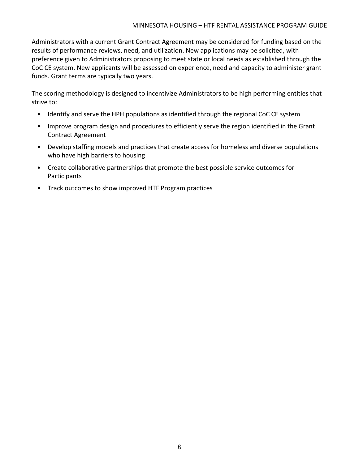Administrators with a current Grant Contract Agreement may be considered for funding based on the results of performance reviews, need, and utilization. New applications may be solicited, with preference given to Administrators proposing to meet state or local needs as established through the CoC CE system. New applicants will be assessed on experience, need and capacity to administer grant funds. Grant terms are typically two years.

The scoring methodology is designed to incentivize Administrators to be high performing entities that strive to:

- Identify and serve the HPH populations as identified through the regional CoC CE system
- Improve program design and procedures to efficiently serve the region identified in the Grant Contract Agreement
- Develop staffing models and practices that create access for homeless and diverse populations who have high barriers to housing
- Create collaborative partnerships that promote the best possible service outcomes for **Participants**
- Track outcomes to show improved HTF Program practices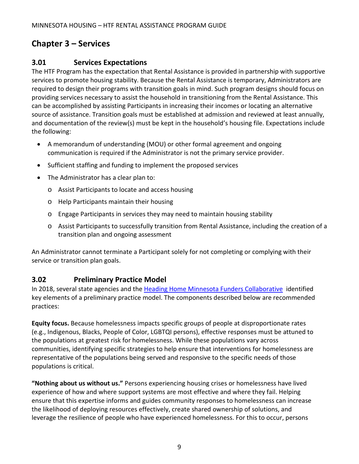# <span id="page-10-0"></span>**Chapter 3 – Services**

### <span id="page-10-1"></span>**3.01 Services Expectations**

The HTF Program has the expectation that Rental Assistance is provided in partnership with supportive services to promote housing stability. Because the Rental Assistance is temporary, Administrators are required to design their programs with transition goals in mind. Such program designs should focus on providing services necessary to assist the household in transitioning from the Rental Assistance. This can be accomplished by assisting Participants in increasing their incomes or locating an alternative source of assistance. Transition goals must be established at admission and reviewed at least annually, and documentation of the review(s) must be kept in the household's housing file. Expectations include the following:

- A memorandum of understanding (MOU) or other formal agreement and ongoing communication is required if the Administrator is not the primary service provider.
- Sufficient staffing and funding to implement the proposed services
- The Administrator has a clear plan to:
	- o Assist Participants to locate and access housing
	- o Help Participants maintain their housing
	- o Engage Participants in services they may need to maintain housing stability
	- o Assist Participants to successfully transition from Rental Assistance, including the creation of a transition plan and ongoing assessment

An Administrator cannot terminate a Participant solely for not completing or complying with their service or transition plan goals.

### <span id="page-10-2"></span>**3.02 Preliminary Practice Model**

In 2018, several state agencies and the [Heading Home Minnesota Funders Collaborative](https://headinghomemnfunders.org/) identified key elements of a preliminary practice model. The components described below are recommended practices:

**Equity focus.** Because homelessness impacts specific groups of people at disproportionate rates (e.g., Indigenous, Blacks, People of Color, LGBTQI persons), effective responses must be attuned to the populations at greatest risk for homelessness. While these populations vary across communities, identifying specific strategies to help ensure that interventions for homelessness are representative of the populations being served and responsive to the specific needs of those populations is critical.

**"Nothing about us without us."** Persons experiencing housing crises or homelessness have lived experience of how and where support systems are most effective and where they fail. Helping ensure that this expertise informs and guides community responses to homelessness can increase the likelihood of deploying resources effectively, create shared ownership of solutions, and leverage the resilience of people who have experienced homelessness. For this to occur, persons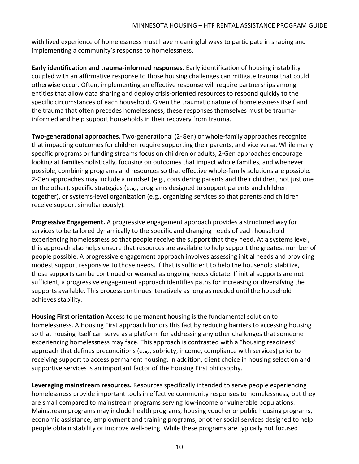with lived experience of homelessness must have meaningful ways to participate in shaping and implementing a community's response to homelessness.

**Early identification and trauma-informed responses.** Early identification of housing instability coupled with an affirmative response to those housing challenges can mitigate trauma that could otherwise occur. Often, implementing an effective response will require partnerships among entities that allow data sharing and deploy crisis-oriented resources to respond quickly to the specific circumstances of each household. Given the traumatic nature of homelessness itself and the trauma that often precedes homelessness, these responses themselves must be traumainformed and help support households in their recovery from trauma.

**Two-generational approaches.** Two-generational (2-Gen) or whole-family approaches recognize that impacting outcomes for children require supporting their parents, and vice versa. While many specific programs or funding streams focus on children or adults, 2-Gen approaches encourage looking at families holistically, focusing on outcomes that impact whole families, and whenever possible, combining programs and resources so that effective whole-family solutions are possible. 2-Gen approaches may include a mindset (e.g., considering parents and their children, not just one or the other), specific strategies (e.g., programs designed to support parents and children together), or systems-level organization (e.g., organizing services so that parents and children receive support simultaneously).

**Progressive Engagement.** A progressive engagement approach provides a structured way for services to be tailored dynamically to the specific and changing needs of each household experiencing homelessness so that people receive the support that they need. At a systems level, this approach also helps ensure that resources are available to help support the greatest number of people possible. A progressive engagement approach involves assessing initial needs and providing modest support responsive to those needs. If that is sufficient to help the household stabilize, those supports can be continued or weaned as ongoing needs dictate. If initial supports are not sufficient, a progressive engagement approach identifies paths for increasing or diversifying the supports available. This process continues iteratively as long as needed until the household achieves stability.

**Housing First orientation** Access to permanent housing is the fundamental solution to homelessness. A Housing First approach honors this fact by reducing barriers to accessing housing so that housing itself can serve as a platform for addressing any other challenges that someone experiencing homelessness may face. This approach is contrasted with a "housing readiness" approach that defines preconditions (e.g., sobriety, income, compliance with services) prior to receiving support to access permanent housing. In addition, client choice in housing selection and supportive services is an important factor of the Housing First philosophy.

**Leveraging mainstream resources.** Resources specifically intended to serve people experiencing homelessness provide important tools in effective community responses to homelessness, but they are small compared to mainstream programs serving low-income or vulnerable populations. Mainstream programs may include health programs, housing voucher or public housing programs, economic assistance, employment and training programs, or other social services designed to help people obtain stability or improve well-being. While these programs are typically not focused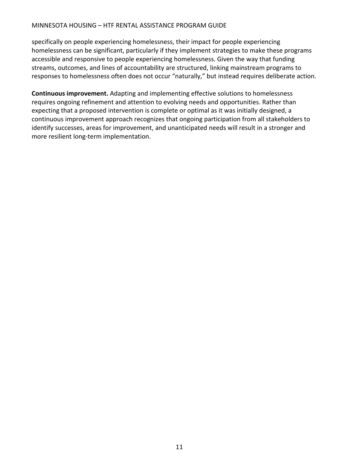#### MINNESOTA HOUSING – HTF RENTAL ASSISTANCE PROGRAM GUIDE

specifically on people experiencing homelessness, their impact for people experiencing homelessness can be significant, particularly if they implement strategies to make these programs accessible and responsive to people experiencing homelessness. Given the way that funding streams, outcomes, and lines of accountability are structured, linking mainstream programs to responses to homelessness often does not occur "naturally," but instead requires deliberate action.

**Continuous improvement.** Adapting and implementing effective solutions to homelessness requires ongoing refinement and attention to evolving needs and opportunities. Rather than expecting that a proposed intervention is complete or optimal as it was initially designed, a continuous improvement approach recognizes that ongoing participation from all stakeholders to identify successes, areas for improvement, and unanticipated needs will result in a stronger and more resilient long-term implementation.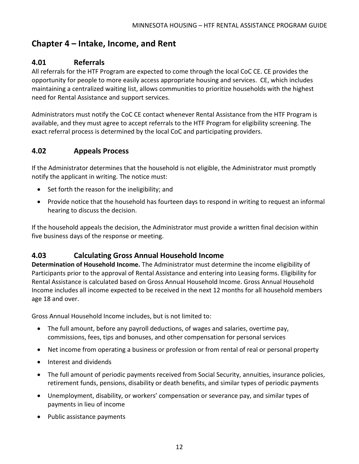# <span id="page-13-0"></span>**Chapter 4 – Intake, Income, and Rent**

### <span id="page-13-1"></span>**4.01 Referrals**

All referrals for the HTF Program are expected to come through the local CoC CE. CE provides the opportunity for people to more easily access appropriate housing and services. CE, which includes maintaining a centralized waiting list, allows communities to prioritize households with the highest need for Rental Assistance and support services.

Administrators must notify the CoC CE contact whenever Rental Assistance from the HTF Program is available, and they must agree to accept referrals to the HTF Program for eligibility screening. The exact referral process is determined by the local CoC and participating providers.

### <span id="page-13-2"></span>**4.02 Appeals Process**

If the Administrator determines that the household is not eligible, the Administrator must promptly notify the applicant in writing. The notice must:

- Set forth the reason for the ineligibility; and
- Provide notice that the household has fourteen days to respond in writing to request an informal hearing to discuss the decision.

If the household appeals the decision, the Administrator must provide a written final decision within five business days of the response or meeting.

### <span id="page-13-3"></span>**4.03 Calculating Gross Annual Household Income**

**Determination of Household Income.** The Administrator must determine the income eligibility of Participants prior to the approval of Rental Assistance and entering into Leasing forms. Eligibility for Rental Assistance is calculated based on Gross Annual Household Income. Gross Annual Household Income includes all income expected to be received in the next 12 months for all household members age 18 and over.

Gross Annual Household Income includes, but is not limited to:

- The full amount, before any payroll deductions, of wages and salaries, overtime pay, commissions, fees, tips and bonuses, and other compensation for personal services
- Net income from operating a business or profession or from rental of real or personal property
- Interest and dividends
- The full amount of periodic payments received from Social Security, annuities, insurance policies, retirement funds, pensions, disability or death benefits, and similar types of periodic payments
- Unemployment, disability, or workers' compensation or severance pay, and similar types of payments in lieu of income
- Public assistance payments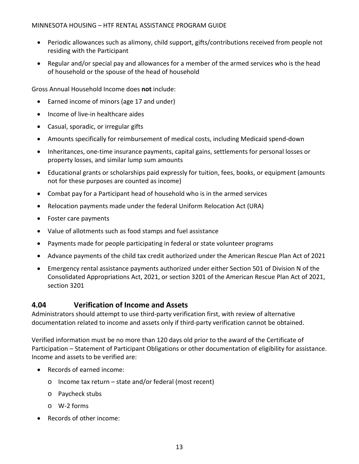- Periodic allowances such as alimony, child support, gifts/contributions received from people not residing with the Participant
- Regular and/or special pay and allowances for a member of the armed services who is the head of household or the spouse of the head of household

Gross Annual Household Income does **not** include:

- Earned income of minors (age 17 and under)
- Income of live-in healthcare aides
- Casual, sporadic, or irregular gifts
- Amounts specifically for reimbursement of medical costs, including Medicaid spend-down
- Inheritances, one-time insurance payments, capital gains, settlements for personal losses or property losses, and similar lump sum amounts
- Educational grants or scholarships paid expressly for tuition, fees, books, or equipment (amounts not for these purposes are counted as income)
- Combat pay for a Participant head of household who is in the armed services
- Relocation payments made under the federal Uniform Relocation Act (URA)
- Foster care payments
- Value of allotments such as food stamps and fuel assistance
- Payments made for people participating in federal or state volunteer programs
- Advance payments of the child tax credit authorized under the American Rescue Plan Act of 2021
- Emergency rental assistance payments authorized under either Section 501 of Division N of the Consolidated Appropriations Act, 2021, or section 3201 of the American Rescue Plan Act of 2021, section 3201

### <span id="page-14-0"></span>**4.04 Verification of Income and Assets**

Administrators should attempt to use third-party verification first, with review of alternative documentation related to income and assets only if third-party verification cannot be obtained.

Verified information must be no more than 120 days old prior to the award of the Certificate of Participation – Statement of Participant Obligations or other documentation of eligibility for assistance. Income and assets to be verified are:

- Records of earned income:
	- o Income tax return state and/or federal (most recent)
	- o Paycheck stubs
	- o W-2 forms
- Records of other income: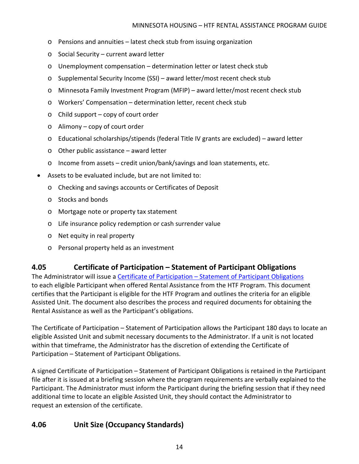- o Pensions and annuities latest check stub from issuing organization
- o Social Security current award letter
- o Unemployment compensation determination letter or latest check stub
- o Supplemental Security Income (SSI) award letter/most recent check stub
- o Minnesota Family Investment Program (MFIP) award letter/most recent check stub
- o Workers' Compensation determination letter, recent check stub
- $\circ$  Child support copy of court order
- o Alimony copy of court order
- o Educational scholarships/stipends (federal Title IV grants are excluded) award letter
- o Other public assistance award letter
- o Income from assets credit union/bank/savings and loan statements, etc.
- Assets to be evaluated include, but are not limited to:
	- o Checking and savings accounts or Certificates of Deposit
	- o Stocks and bonds
	- o Mortgage note or property tax statement
	- o Life insurance policy redemption or cash surrender value
	- o Net equity in real property
	- o Personal property held as an investment

### <span id="page-15-0"></span>**4.05 Certificate of Participation – Statement of Participant Obligations**

The Administrator will issue a Certificate of Participation - Statement of Participant Obligations to each eligible Participant when offered Rental Assistance from the HTF Program. This document certifies that the Participant is eligible for the HTF Program and outlines the criteria for an eligible Assisted Unit. The document also describes the process and required documents for obtaining the Rental Assistance as well as the Participant's obligations.

The Certificate of Participation – Statement of Participation allows the Participant 180 days to locate an eligible Assisted Unit and submit necessary documents to the Administrator. If a unit is not located within that timeframe, the Administrator has the discretion of extending the Certificate of Participation – Statement of Participant Obligations.

A signed Certificate of Participation – Statement of Participant Obligations is retained in the Participant file after it is issued at a briefing session where the program requirements are verbally explained to the Participant. The Administrator must inform the Participant during the briefing session that if they need additional time to locate an eligible Assisted Unit, they should contact the Administrator to request an extension of the certificate.

### <span id="page-15-1"></span>**4.06 Unit Size (Occupancy Standards)**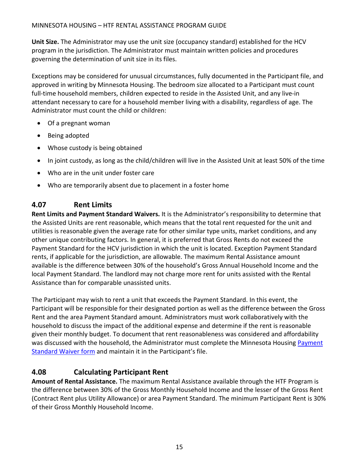**Unit Size.** The Administrator may use the unit size (occupancy standard) established for the HCV program in the jurisdiction. The Administrator must maintain written policies and procedures governing the determination of unit size in its files.

Exceptions may be considered for unusual circumstances, fully documented in the Participant file, and approved in writing by Minnesota Housing. The bedroom size allocated to a Participant must count full-time household members, children expected to reside in the Assisted Unit, and any live-in attendant necessary to care for a household member living with a disability, regardless of age. The Administrator must count the child or children:

- Of a pregnant woman
- Being adopted
- Whose custody is being obtained
- In joint custody, as long as the child/children will live in the Assisted Unit at least 50% of the time
- Who are in the unit under foster care
- Who are temporarily absent due to placement in a foster home

# <span id="page-16-0"></span>**4.07 Rent Limits**

**Rent Limits and Payment Standard Waivers.** It is the Administrator's responsibility to determine that the Assisted Units are rent reasonable, which means that the total rent requested for the unit and utilities is reasonable given the average rate for other similar type units, market conditions, and any other unique contributing factors. In general, it is preferred that Gross Rents do not exceed the Payment Standard for the HCV jurisdiction in which the unit is located. Exception Payment Standard rents, if applicable for the jurisdiction, are allowable. The maximum Rental Assistance amount available is the difference between 30% of the household's Gross Annual Household Income and the local Payment Standard. The landlord may not charge more rent for units assisted with the Rental Assistance than for comparable unassisted units.

The Participant may wish to rent a unit that exceeds the Payment Standard. In this event, the Participant will be responsible for their designated portion as well as the difference between the Gross Rent and the area Payment Standard amount. Administrators must work collaboratively with the household to discuss the impact of the additional expense and determine if the rent is reasonable given their monthly budget. To document that rent reasonableness was considered and affordability was discussed with the household, the Administrator must complete the Minnesota Housing [Payment](http://www.mnhousing.gov/download/MHFA_002388)  [Standard Waiver form](http://www.mnhousing.gov/download/MHFA_002388) and maintain it in the Participant's file.

# <span id="page-16-1"></span>**4.08 Calculating Participant Rent**

**Amount of Rental Assistance.** The maximum Rental Assistance available through the HTF Program is the difference between 30% of the Gross Monthly Household Income and the lesser of the Gross Rent (Contract Rent plus Utility Allowance) or area Payment Standard. The minimum Participant Rent is 30% of their Gross Monthly Household Income.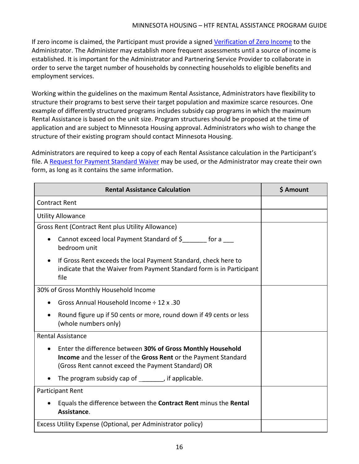If zero income is claimed, the Participant must provide a signed [Verification of Zero](http://www.mnhousing.gov/download/MHFA_002391) Income to the Administrator. The Administer may establish more frequent assessments until a source of income is established. It is important for the Administrator and Partnering Service Provider to collaborate in order to serve the target number of households by connecting households to eligible benefits and employment services.

Working within the guidelines on the maximum Rental Assistance, Administrators have flexibility to structure their programs to best serve their target population and maximize scarce resources. One example of differently structured programs includes subsidy cap programs in which the maximum Rental Assistance is based on the unit size. Program structures should be proposed at the time of application and are subject to Minnesota Housing approval. Administrators who wish to change the structure of their existing program should contact Minnesota Housing.

Administrators are required to keep a copy of each Rental Assistance calculation in the Participant's file. A [Request for Payment Standard Waiver](http://www.mnhousing.gov/download/MHFA_002388) may be used, or the Administrator may create their own form, as long as it contains the same information.

| <b>Rental Assistance Calculation</b>                                                                                                                                                 | <b>S</b> Amount |
|--------------------------------------------------------------------------------------------------------------------------------------------------------------------------------------|-----------------|
| <b>Contract Rent</b>                                                                                                                                                                 |                 |
| <b>Utility Allowance</b>                                                                                                                                                             |                 |
| Gross Rent (Contract Rent plus Utility Allowance)                                                                                                                                    |                 |
| Cannot exceed local Payment Standard of \$________ for a ____<br>bedroom unit                                                                                                        |                 |
| If Gross Rent exceeds the local Payment Standard, check here to<br>indicate that the Waiver from Payment Standard form is in Participant<br>file                                     |                 |
| 30% of Gross Monthly Household Income                                                                                                                                                |                 |
| Gross Annual Household Income ÷ 12 x .30                                                                                                                                             |                 |
| Round figure up if 50 cents or more, round down if 49 cents or less<br>(whole numbers only)                                                                                          |                 |
| <b>Rental Assistance</b>                                                                                                                                                             |                 |
| Enter the difference between 30% of Gross Monthly Household<br>Income and the lesser of the Gross Rent or the Payment Standard<br>(Gross Rent cannot exceed the Payment Standard) OR |                 |
| The program subsidy cap of _______, if applicable.                                                                                                                                   |                 |
| Participant Rent                                                                                                                                                                     |                 |
| Equals the difference between the Contract Rent minus the Rental<br>Assistance.                                                                                                      |                 |
| Excess Utility Expense (Optional, per Administrator policy)                                                                                                                          |                 |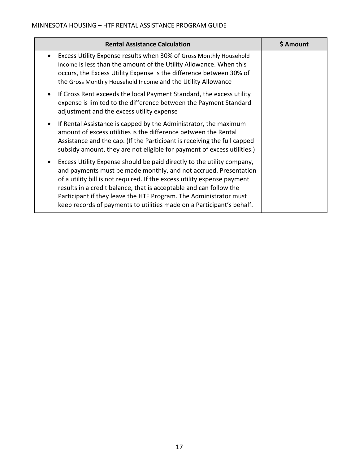| <b>Rental Assistance Calculation</b>                                                                                                                                                                                                                                                                                                                                                                                                       | \$ Amount |
|--------------------------------------------------------------------------------------------------------------------------------------------------------------------------------------------------------------------------------------------------------------------------------------------------------------------------------------------------------------------------------------------------------------------------------------------|-----------|
| Excess Utility Expense results when 30% of Gross Monthly Household<br>$\bullet$<br>Income is less than the amount of the Utility Allowance. When this<br>occurs, the Excess Utility Expense is the difference between 30% of<br>the Gross Monthly Household Income and the Utility Allowance                                                                                                                                               |           |
| If Gross Rent exceeds the local Payment Standard, the excess utility<br>$\bullet$<br>expense is limited to the difference between the Payment Standard<br>adjustment and the excess utility expense                                                                                                                                                                                                                                        |           |
| If Rental Assistance is capped by the Administrator, the maximum<br>$\bullet$<br>amount of excess utilities is the difference between the Rental<br>Assistance and the cap. (If the Participant is receiving the full capped<br>subsidy amount, they are not eligible for payment of excess utilities.)                                                                                                                                    |           |
| Excess Utility Expense should be paid directly to the utility company,<br>and payments must be made monthly, and not accrued. Presentation<br>of a utility bill is not required. If the excess utility expense payment<br>results in a credit balance, that is acceptable and can follow the<br>Participant if they leave the HTF Program. The Administrator must<br>keep records of payments to utilities made on a Participant's behalf. |           |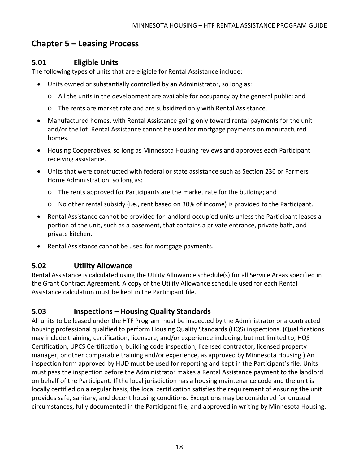# <span id="page-19-0"></span>**Chapter 5 – Leasing Process**

### <span id="page-19-1"></span>**5.01 Eligible Units**

The following types of units that are eligible for Rental Assistance include:

- Units owned or substantially controlled by an Administrator, so long as:
	- o All the units in the development are available for occupancy by the general public; and
	- o The rents are market rate and are subsidized only with Rental Assistance.
- Manufactured homes, with Rental Assistance going only toward rental payments for the unit and/or the lot. Rental Assistance cannot be used for mortgage payments on manufactured homes.
- Housing Cooperatives, so long as Minnesota Housing reviews and approves each Participant receiving assistance.
- Units that were constructed with federal or state assistance such as Section 236 or Farmers Home Administration, so long as:
	- o The rents approved for Participants are the market rate for the building; and
	- o No other rental subsidy (i.e., rent based on 30% of income) is provided to the Participant.
- Rental Assistance cannot be provided for landlord-occupied units unless the Participant leases a portion of the unit, such as a basement, that contains a private entrance, private bath, and private kitchen.
- Rental Assistance cannot be used for mortgage payments.

### <span id="page-19-2"></span>**5.02 Utility Allowance**

Rental Assistance is calculated using the Utility Allowance schedule(s) for all Service Areas specified in the Grant Contract Agreement. A copy of the Utility Allowance schedule used for each Rental Assistance calculation must be kept in the Participant file.

# <span id="page-19-3"></span>**5.03 Inspections – Housing Quality Standards**

All units to be leased under the HTF Program must be inspected by the Administrator or a contracted housing professional qualified to perform Housing Quality Standards (HQS) inspections. (Qualifications may include training, certification, licensure, and/or experience including, but not limited to, HQS Certification, UPCS Certification, building code inspection, licensed contractor, licensed property manager, or other comparable training and/or experience, as approved by Minnesota Housing.) An inspection form approved by HUD must be used for reporting and kept in the Participant's file. Units must pass the inspection before the Administrator makes a Rental Assistance payment to the landlord on behalf of the Participant. If the local jurisdiction has a housing maintenance code and the unit is locally certified on a regular basis, the local certification satisfies the requirement of ensuring the unit provides safe, sanitary, and decent housing conditions. Exceptions may be considered for unusual circumstances, fully documented in the Participant file, and approved in writing by Minnesota Housing.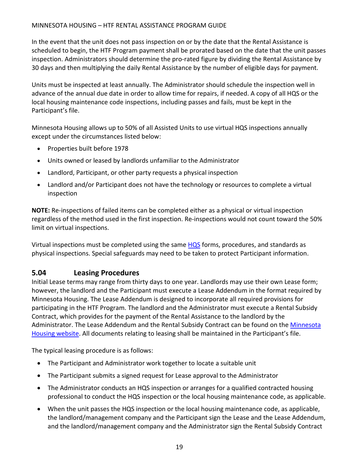#### MINNESOTA HOUSING – HTF RENTAL ASSISTANCE PROGRAM GUIDE

In the event that the unit does not pass inspection on or by the date that the Rental Assistance is scheduled to begin, the HTF Program payment shall be prorated based on the date that the unit passes inspection. Administrators should determine the pro-rated figure by dividing the Rental Assistance by 30 days and then multiplying the daily Rental Assistance by the number of eligible days for payment.

Units must be inspected at least annually. The Administrator should schedule the inspection well in advance of the annual due date in order to allow time for repairs, if needed. A copy of all HQS or the local housing maintenance code inspections, including passes and fails, must be kept in the Participant's file.

Minnesota Housing allows up to 50% of all Assisted Units to use virtual HQS inspections annually except under the circumstances listed below:

- Properties built before 1978
- Units owned or leased by landlords unfamiliar to the Administrator
- Landlord, Participant, or other party requests a physical inspection
- Landlord and/or Participant does not have the technology or resources to complete a virtual inspection

**NOTE:** Re-inspections of failed items can be completed either as a physical or virtual inspection regardless of the method used in the first inspection. Re-inspections would not count toward the 50% limit on virtual inspections.

Virtual inspections must be completed using the same [HQS](https://www.hud.gov/program_offices/public_indian_housing/programs/hcv/hqs) forms, procedures, and standards as physical inspections. Special safeguards may need to be taken to protect Participant information.

### <span id="page-20-0"></span>**5.04 Leasing Procedures**

Initial Lease terms may range from thirty days to one year. Landlords may use their own Lease form; however, the landlord and the Participant must execute a Lease Addendum in the format required by Minnesota Housing. The Lease Addendum is designed to incorporate all required provisions for participating in the HTF Program. The landlord and the Administrator must execute a Rental Subsidy Contract, which provides for the payment of the Rental Assistance to the landlord by the Administrator. The Lease Addendum and the Rental Subsidy Contract can be found on the Minnesota [Housing website.](https://www.mnhousing.gov/sites/multifamily/rentalassistance) All documents relating to leasing shall be maintained in the Participant's file.

The typical leasing procedure is as follows:

- The Participant and Administrator work together to locate a suitable unit
- The Participant submits a signed request for Lease approval to the Administrator
- The Administrator conducts an HQS inspection or arranges for a qualified contracted housing professional to conduct the HQS inspection or the local housing maintenance code, as applicable.
- When the unit passes the HQS inspection or the local housing maintenance code, as applicable, the landlord/management company and the Participant sign the Lease and the Lease Addendum, and the landlord/management company and the Administrator sign the Rental Subsidy Contract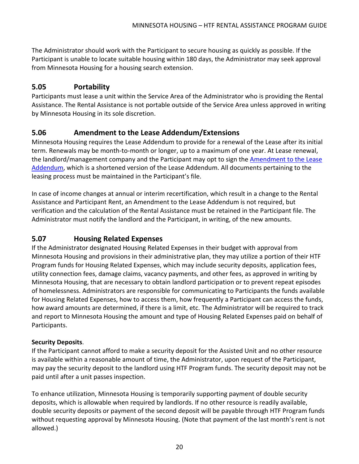The Administrator should work with the Participant to secure housing as quickly as possible. If the Participant is unable to locate suitable housing within 180 days, the Administrator may seek approval from Minnesota Housing for a housing search extension.

### <span id="page-21-0"></span>**5.05 Portability**

Participants must lease a unit within the Service Area of the Administrator who is providing the Rental Assistance. The Rental Assistance is not portable outside of the Service Area unless approved in writing by Minnesota Housing in its sole discretion.

### <span id="page-21-1"></span>**5.06 Amendment to the Lease Addendum/Extensions**

Minnesota Housing requires the Lease Addendum to provide for a renewal of the Lease after its initial term. Renewals may be month-to-month or longer, up to a maximum of one year. At Lease renewal, the landlord/management company and the Participant may opt to sign the Amendment to the Lease [Addendum,](http://www.mnhousing.gov/download/MHFA_006233) which is a shortened version of the Lease Addendum. All documents pertaining to the leasing process must be maintained in the Participant's file.

In case of income changes at annual or interim recertification, which result in a change to the Rental Assistance and Participant Rent, an Amendment to the Lease Addendum is not required, but verification and the calculation of the Rental Assistance must be retained in the Participant file. The Administrator must notify the landlord and the Participant, in writing, of the new amounts.

### <span id="page-21-2"></span>**5.07 Housing Related Expenses**

If the Administrator designated Housing Related Expenses in their budget with approval from Minnesota Housing and provisions in their administrative plan, they may utilize a portion of their HTF Program funds for Housing Related Expenses, which may include security deposits, application fees, utility connection fees, damage claims, vacancy payments, and other fees, as approved in writing by Minnesota Housing, that are necessary to obtain landlord participation or to prevent repeat episodes of homelessness. Administrators are responsible for communicating to Participants the funds available for Housing Related Expenses, how to access them, how frequently a Participant can access the funds, how award amounts are determined, if there is a limit, etc. The Administrator will be required to track and report to Minnesota Housing the amount and type of Housing Related Expenses paid on behalf of Participants.

### **Security Deposits**.

If the Participant cannot afford to make a security deposit for the Assisted Unit and no other resource is available within a reasonable amount of time, the Administrator, upon request of the Participant, may pay the security deposit to the landlord using HTF Program funds. The security deposit may not be paid until after a unit passes inspection.

To enhance utilization, Minnesota Housing is temporarily supporting payment of double security deposits, which is allowable when required by landlords. If no other resource is readily available, double security deposits or payment of the second deposit will be payable through HTF Program funds without requesting approval by Minnesota Housing. (Note that payment of the last month's rent is not allowed.)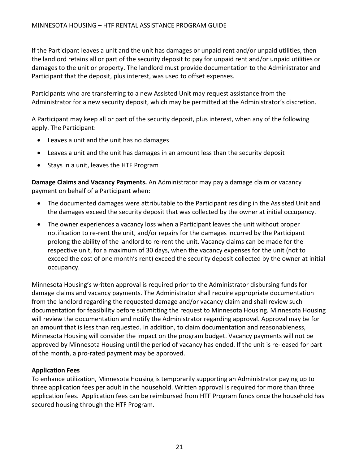If the Participant leaves a unit and the unit has damages or unpaid rent and/or unpaid utilities, then the landlord retains all or part of the security deposit to pay for unpaid rent and/or unpaid utilities or damages to the unit or property. The landlord must provide documentation to the Administrator and Participant that the deposit, plus interest, was used to offset expenses.

Participants who are transferring to a new Assisted Unit may request assistance from the Administrator for a new security deposit, which may be permitted at the Administrator's discretion.

A Participant may keep all or part of the security deposit, plus interest, when any of the following apply. The Participant:

- Leaves a unit and the unit has no damages
- Leaves a unit and the unit has damages in an amount less than the security deposit
- Stays in a unit, leaves the HTF Program

**Damage Claims and Vacancy Payments.** An Administrator may pay a damage claim or vacancy payment on behalf of a Participant when:

- The documented damages were attributable to the Participant residing in the Assisted Unit and the damages exceed the security deposit that was collected by the owner at initial occupancy.
- The owner experiences a vacancy loss when a Participant leaves the unit without proper notification to re-rent the unit, and/or repairs for the damages incurred by the Participant prolong the ability of the landlord to re-rent the unit. Vacancy claims can be made for the respective unit, for a maximum of 30 days, when the vacancy expenses for the unit (not to exceed the cost of one month's rent) exceed the security deposit collected by the owner at initial occupancy.

Minnesota Housing's written approval is required prior to the Administrator disbursing funds for damage claims and vacancy payments. The Administrator shall require appropriate documentation from the landlord regarding the requested damage and/or vacancy claim and shall review such documentation for feasibility before submitting the request to Minnesota Housing. Minnesota Housing will review the documentation and notify the Administrator regarding approval. Approval may be for an amount that is less than requested. In addition, to claim documentation and reasonableness, Minnesota Housing will consider the impact on the program budget. Vacancy payments will not be approved by Minnesota Housing until the period of vacancy has ended. If the unit is re-leased for part of the month, a pro-rated payment may be approved.

#### **Application Fees**

To enhance utilization, Minnesota Housing is temporarily supporting an Administrator paying up to three application fees per adult in the household. Written approval is required for more than three application fees. Application fees can be reimbursed from HTF Program funds once the household has secured housing through the HTF Program.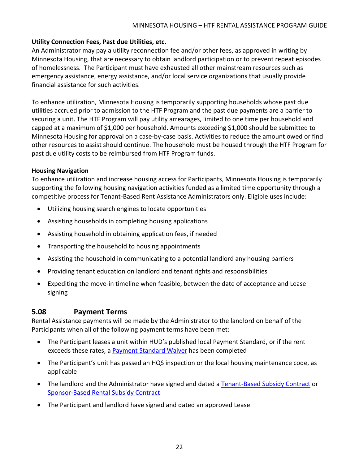### **Utility Connection Fees, Past due Utilities, etc.**

An Administrator may pay a utility reconnection fee and/or other fees, as approved in writing by Minnesota Housing, that are necessary to obtain landlord participation or to prevent repeat episodes of homelessness. The Participant must have exhausted all other mainstream resources such as emergency assistance, energy assistance, and/or local service organizations that usually provide financial assistance for such activities.

To enhance utilization, Minnesota Housing is temporarily supporting households whose past due utilities accrued prior to admission to the HTF Program and the past due payments are a barrier to securing a unit. The HTF Program will pay utility arrearages, limited to one time per household and capped at a maximum of \$1,000 per household. Amounts exceeding \$1,000 should be submitted to Minnesota Housing for approval on a case-by-case basis. Activities to reduce the amount owed or find other resources to assist should continue. The household must be housed through the HTF Program for past due utility costs to be reimbursed from HTF Program funds.

#### **Housing Navigation**

To enhance utilization and increase housing access for Participants, Minnesota Housing is temporarily supporting the following housing navigation activities funded as a limited time opportunity through a competitive process for Tenant-Based Rent Assistance Administrators only. Eligible uses include:

- Utilizing housing search engines to locate opportunities
- Assisting households in completing housing applications
- Assisting household in obtaining application fees, if needed
- Transporting the household to housing appointments
- Assisting the household in communicating to a potential landlord any housing barriers
- Providing tenant education on landlord and tenant rights and responsibilities
- Expediting the move-in timeline when feasible, between the date of acceptance and Lease signing

### <span id="page-23-0"></span>**5.08 Payment Terms**

Rental Assistance payments will be made by the Administrator to the landlord on behalf of the Participants when all of the following payment terms have been met:

- The Participant leases a unit within HUD's published local Payment Standard, or if the rent exceeds these rates, a **Payment Standard Waiver** has been completed
- The Participant's unit has passed an HQS inspection or the local housing maintenance code, as applicable
- The landlord and the Administrator have signed and dated a [Tenant-Based Subsidy Contract](http://www.mnhousing.gov/download/MHFA_006236) or [Sponsor-Based Rental Subsidy Contract](http://www.mnhousing.gov/download/MHFA_006221)
- The Participant and landlord have signed and dated an approved Lease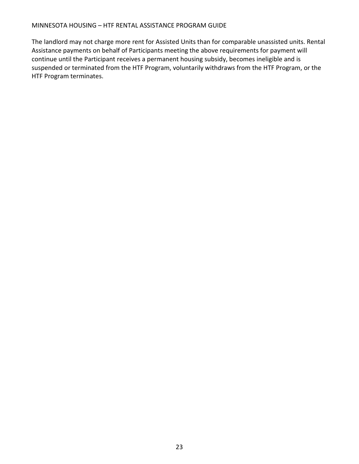#### MINNESOTA HOUSING – HTF RENTAL ASSISTANCE PROGRAM GUIDE

The landlord may not charge more rent for Assisted Units than for comparable unassisted units. Rental Assistance payments on behalf of Participants meeting the above requirements for payment will continue until the Participant receives a permanent housing subsidy, becomes ineligible and is suspended or terminated from the HTF Program, voluntarily withdraws from the HTF Program, or the HTF Program terminates.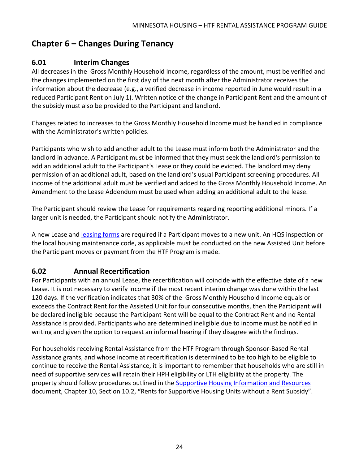# <span id="page-25-0"></span>**Chapter 6 – Changes During Tenancy**

### <span id="page-25-1"></span>**6.01 Interim Changes**

All decreases in the Gross Monthly Household Income, regardless of the amount, must be verified and the changes implemented on the first day of the next month after the Administrator receives the information about the decrease (e.g., a verified decrease in income reported in June would result in a reduced Participant Rent on July 1). Written notice of the change in Participant Rent and the amount of the subsidy must also be provided to the Participant and landlord.

Changes related to increases to the Gross Monthly Household Income must be handled in compliance with the Administrator's written policies.

Participants who wish to add another adult to the Lease must inform both the Administrator and the landlord in advance. A Participant must be informed that they must seek the landlord's permission to add an additional adult to the Participant's Lease or they could be evicted. The landlord may deny permission of an additional adult, based on the landlord's usual Participant screening procedures. All income of the additional adult must be verified and added to the Gross Monthly Household Income. An Amendment to the Lease Addendum must be used when adding an additional adult to the lease.

The Participant should review the Lease for requirements regarding reporting additional minors. If a larger unit is needed, the Participant should notify the Administrator.

A new Lease and [leasing](https://www.mnhousing.gov/sites/multifamily/htf) forms are required if a Participant moves to a new unit. An HQS inspection or the local housing maintenance code, as applicable must be conducted on the new Assisted Unit before the Participant moves or payment from the HTF Program is made.

# <span id="page-25-2"></span>**6.02 Annual Recertification**

For Participants with an annual Lease, the recertification will coincide with the effective date of a new Lease. It is not necessary to verify income if the most recent interim change was done within the last 120 days. If the verification indicates that 30% of the Gross Monthly Household Income equals or exceeds the Contract Rent for the Assisted Unit for four consecutive months, then the Participant will be declared ineligible because the Participant Rent will be equal to the Contract Rent and no Rental Assistance is provided. Participants who are determined ineligible due to income must be notified in writing and given the option to request an informal hearing if they disagree with the findings.

For households receiving Rental Assistance from the HTF Program through Sponsor-Based Rental Assistance grants, and whose income at recertification is determined to be too high to be eligible to continue to receive the Rental Assistance, it is important to remember that households who are still in need of supportive services will retain their HPH eligibility or LTH eligibility at the property. The property should follow procedures outlined in the [Supportive Housing Information and Resources](http://www.mnhousing.gov/get/MHFA_1043310) document, Chapter 10, Section 10.2, **"**Rents for Supportive Housing Units without a Rent Subsidy".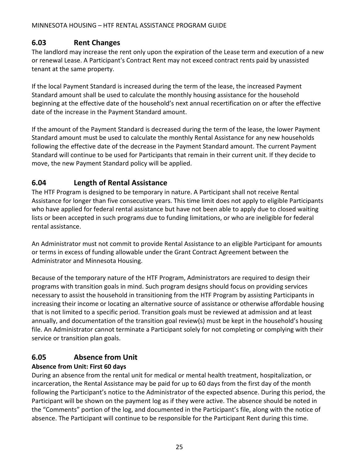# <span id="page-26-0"></span>**6.03 Rent Changes**

The landlord may increase the rent only upon the expiration of the Lease term and execution of a new or renewal Lease. A Participant's Contract Rent may not exceed contract rents paid by unassisted tenant at the same property.

If the local Payment Standard is increased during the term of the lease, the increased Payment Standard amount shall be used to calculate the monthly housing assistance for the household beginning at the effective date of the household's next annual recertification on or after the effective date of the increase in the Payment Standard amount.

If the amount of the Payment Standard is decreased during the term of the lease, the lower Payment Standard amount must be used to calculate the monthly Rental Assistance for any new households following the effective date of the decrease in the Payment Standard amount. The current Payment Standard will continue to be used for Participants that remain in their current unit. If they decide to move, the new Payment Standard policy will be applied.

# <span id="page-26-1"></span>**6.04 Length of Rental Assistance**

The HTF Program is designed to be temporary in nature. A Participant shall not receive Rental Assistance for longer than five consecutive years. This time limit does not apply to eligible Participants who have applied for federal rental assistance but have not been able to apply due to closed waiting lists or been accepted in such programs due to funding limitations, or who are ineligible for federal rental assistance.

An Administrator must not commit to provide Rental Assistance to an eligible Participant for amounts or terms in excess of funding allowable under the Grant Contract Agreement between the Administrator and Minnesota Housing.

Because of the temporary nature of the HTF Program, Administrators are required to design their programs with transition goals in mind. Such program designs should focus on providing services necessary to assist the household in transitioning from the HTF Program by assisting Participants in increasing their income or locating an alternative source of assistance or otherwise affordable housing that is not limited to a specific period. Transition goals must be reviewed at admission and at least annually, and documentation of the transition goal review(s) must be kept in the household's housing file. An Administrator cannot terminate a Participant solely for not completing or complying with their service or transition plan goals.

# <span id="page-26-2"></span>**6.05 Absence from Unit**

### **Absence from Unit: First 60 days**

During an absence from the rental unit for medical or mental health treatment, hospitalization, or incarceration, the Rental Assistance may be paid for up to 60 days from the first day of the month following the Participant's notice to the Administrator of the expected absence. During this period, the Participant will be shown on the payment log as if they were active. The absence should be noted in the "Comments" portion of the log, and documented in the Participant's file, along with the notice of absence. The Participant will continue to be responsible for the Participant Rent during this time.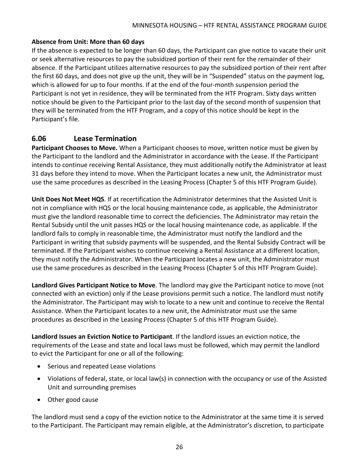#### **Absence from Unit: More than 60 days**

If the absence is expected to be longer than 60 days, the Participant can give notice to vacate their unit or seek alternative resources to pay the subsidized portion of their rent for the remainder of their absence. If the Participant utilizes alternative resources to pay the subsidized portion of their rent after the first 60 days, and does not give up the unit, they will be in "Suspended" status on the payment log, which is allowed for up to four months. If at the end of the four-month suspension period the Participant is not yet in residence, they will be terminated from the HTF Program. Sixty days written notice should be given to the Participant prior to the last day of the second month of suspension that they will be terminated from the HTF Program, and a copy of this notice should be kept in the Participant's file.

### <span id="page-27-0"></span>**6.06 Lease Termination**

**Participant Chooses to Move.** When a Participant chooses to move, written notice must be given by the Participant to the landlord and the Administrator in accordance with the Lease. If the Participant intends to continue receiving Rental Assistance, they must additionally notify the Administrator at least 31 days before they intend to move. When the Participant locates a new unit, the Administrator must use the same procedures as described in the Leasing Process (Chapter 5 of this HTF Program Guide).

**Unit Does Not Meet HQS**. If at recertification the Administrator determines that the Assisted Unit is not in compliance with HQS or the local housing maintenance code, as applicable, the Administrator must give the landlord reasonable time to correct the deficiencies. The Administrator may retain the Rental Subsidy until the unit passes HQS or the local housing maintenance code, as applicable. If the landlord fails to comply in reasonable time, the Administrator must notify the landlord and the Participant in writing that subsidy payments will be suspended, and the Rental Subsidy Contract will be terminated. If the Participant wishes to continue receiving a Rental Assistance at a different location, they must notify the Administrator. When the Participant locates a new unit, the Administrator must use the same procedures as described in the Leasing Process (Chapter 5 of this HTF Program Guide).

**Landlord Gives Participant Notice to Move**. The landlord may give the Participant notice to move (not connected with an eviction) only if the Lease provisions permit such a notice. The landlord must notify the Administrator. The Participant may wish to locate to a new unit and continue to receive the Rental Assistance. When the Participant locates to a new unit, the Administrator must use the same procedures as described in the Leasing Process (Chapter 5 of this HTF Program Guide).

**Landlord Issues an Eviction Notice to Participant**. If the landlord issues an eviction notice, the requirements of the Lease and state and local laws must be followed, which may permit the landlord to evict the Participant for one or all of the following:

- Serious and repeated Lease violations
- Violations of federal, state, or local law(s) in connection with the occupancy or use of the Assisted Unit and surrounding premises
- Other good cause

The landlord must send a copy of the eviction notice to the Administrator at the same time it is served to the Participant. The Participant may remain eligible, at the Administrator's discretion, to participate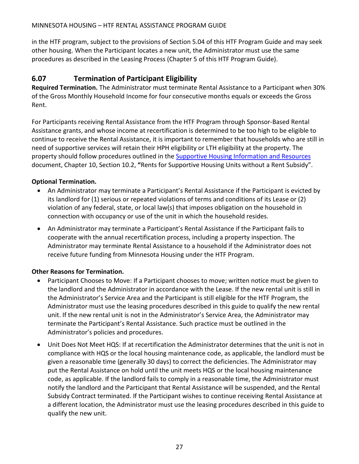#### MINNESOTA HOUSING – HTF RENTAL ASSISTANCE PROGRAM GUIDE

in the HTF program, subject to the provisions of Section 5.04 of this HTF Program Guide and may seek other housing. When the Participant locates a new unit, the Administrator must use the same procedures as described in the Leasing Process (Chapter 5 of this HTF Program Guide).

### <span id="page-28-0"></span>**6.07 Termination of Participant Eligibility**

**Required Termination.** The Administrator must terminate Rental Assistance to a Participant when 30% of the Gross Monthly Household Income for four consecutive months equals or exceeds the Gross Rent.

For Participants receiving Rental Assistance from the HTF Program through Sponsor-Based Rental Assistance grants, and whose income at recertification is determined to be too high to be eligible to continue to receive the Rental Assistance, it is important to remember that households who are still in need of supportive services will retain their HPH eligibility or LTH eligibility at the property. The property should follow procedures outlined in the [Supportive Housing Information and Resources](http://www.mnhousing.gov/get/MHFA_1043310) document, Chapter 10, Section 10.2, **"**Rents for Supportive Housing Units without a Rent Subsidy".

### **Optional Termination.**

- An Administrator may terminate a Participant's Rental Assistance if the Participant is evicted by its landlord for (1) serious or repeated violations of terms and conditions of its Lease or (2) violation of any federal, state, or local law(s) that imposes obligation on the household in connection with occupancy or use of the unit in which the household resides.
- An Administrator may terminate a Participant's Rental Assistance if the Participant fails to cooperate with the annual recertification process, including a property inspection. The Administrator may terminate Rental Assistance to a household if the Administrator does not receive future funding from Minnesota Housing under the HTF Program.

### **Other Reasons for Termination.**

- Participant Chooses to Move: If a Participant chooses to move; written notice must be given to the landlord and the Administrator in accordance with the Lease. If the new rental unit is still in the Administrator's Service Area and the Participant is still eligible for the HTF Program, the Administrator must use the leasing procedures described in this guide to qualify the new rental unit. If the new rental unit is not in the Administrator's Service Area, the Administrator may terminate the Participant's Rental Assistance. Such practice must be outlined in the Administrator's policies and procedures.
- Unit Does Not Meet HQS: If at recertification the Administrator determines that the unit is not in compliance with HQS or the local housing maintenance code, as applicable, the landlord must be given a reasonable time (generally 30 days) to correct the deficiencies. The Administrator may put the Rental Assistance on hold until the unit meets HQS or the local housing maintenance code, as applicable. If the landlord fails to comply in a reasonable time, the Administrator must notify the landlord and the Participant that Rental Assistance will be suspended, and the Rental Subsidy Contract terminated. If the Participant wishes to continue receiving Rental Assistance at a different location, the Administrator must use the leasing procedures described in this guide to qualify the new unit.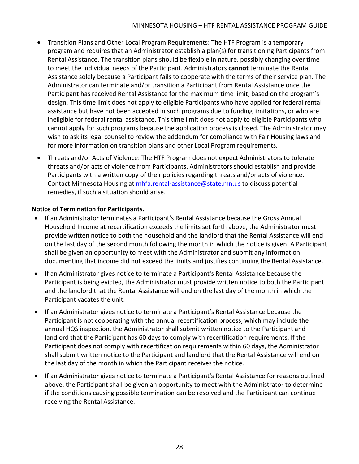- Transition Plans and Other Local Program Requirements: The HTF Program is a temporary program and requires that an Administrator establish a plan(s) for transitioning Participants from Rental Assistance. The transition plans should be flexible in nature, possibly changing over time to meet the individual needs of the Participant. Administrators **cannot** terminate the Rental Assistance solely because a Participant fails to cooperate with the terms of their service plan. The Administrator can terminate and/or transition a Participant from Rental Assistance once the Participant has received Rental Assistance for the maximum time limit, based on the program's design. This time limit does not apply to eligible Participants who have applied for federal rental assistance but have not been accepted in such programs due to funding limitations, or who are ineligible for federal rental assistance. This time limit does not apply to eligible Participants who cannot apply for such programs because the application process is closed. The Administrator may wish to ask its legal counsel to review the addendum for compliance with Fair Housing laws and for more information on transition plans and other Local Program requirements.
- Threats and/or Acts of Violence: The HTF Program does not expect Administrators to tolerate threats and/or acts of violence from Participants. Administrators should establish and provide Participants with a written copy of their policies regarding threats and/or acts of violence. Contact Minnesota Housing at [mhfa.rental-assistance@state.mn.us](mailto:mhfa.rental-assistance@state.mn.us) to discuss potential remedies, if such a situation should arise.

### **Notice of Termination for Participants.**

- If an Administrator terminates a Participant's Rental Assistance because the Gross Annual Household Income at recertification exceeds the limits set forth above, the Administrator must provide written notice to both the household and the landlord that the Rental Assistance will end on the last day of the second month following the month in which the notice is given. A Participant shall be given an opportunity to meet with the Administrator and submit any information documenting that income did not exceed the limits and justifies continuing the Rental Assistance.
- If an Administrator gives notice to terminate a Participant's Rental Assistance because the Participant is being evicted, the Administrator must provide written notice to both the Participant and the landlord that the Rental Assistance will end on the last day of the month in which the Participant vacates the unit.
- If an Administrator gives notice to terminate a Participant's Rental Assistance because the Participant is not cooperating with the annual recertification process, which may include the annual HQS inspection, the Administrator shall submit written notice to the Participant and landlord that the Participant has 60 days to comply with recertification requirements. If the Participant does not comply with recertification requirements within 60 days, the Administrator shall submit written notice to the Participant and landlord that the Rental Assistance will end on the last day of the month in which the Participant receives the notice.
- If an Administrator gives notice to terminate a Participant's Rental Assistance for reasons outlined above, the Participant shall be given an opportunity to meet with the Administrator to determine if the conditions causing possible termination can be resolved and the Participant can continue receiving the Rental Assistance.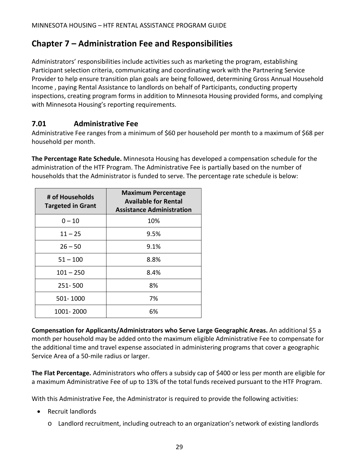# <span id="page-30-0"></span>**Chapter 7 – Administration Fee and Responsibilities**

Administrators' responsibilities include activities such as marketing the program, establishing Participant selection criteria, communicating and coordinating work with the Partnering Service Provider to help ensure transition plan goals are being followed, determining Gross Annual Household Income , paying Rental Assistance to landlords on behalf of Participants, conducting property inspections, creating program forms in addition to Minnesota Housing provided forms, and complying with Minnesota Housing's reporting requirements.

### <span id="page-30-1"></span>**7.01 Administrative Fee**

Administrative Fee ranges from a minimum of \$60 per household per month to a maximum of \$68 per household per month.

**The Percentage Rate Schedule.** Minnesota Housing has developed a compensation schedule for the administration of the HTF Program. The Administrative Fee is partially based on the number of households that the Administrator is funded to serve. The percentage rate schedule is below:

| # of Households<br><b>Targeted in Grant</b> | <b>Maximum Percentage</b><br><b>Available for Rental</b><br><b>Assistance Administration</b> |
|---------------------------------------------|----------------------------------------------------------------------------------------------|
| $0 - 10$                                    | 10%                                                                                          |
| $11 - 25$                                   | 9.5%                                                                                         |
| $26 - 50$                                   | 9.1%                                                                                         |
| $51 - 100$                                  | 8.8%                                                                                         |
| $101 - 250$                                 | 8.4%                                                                                         |
| 251-500                                     | 8%                                                                                           |
| 501-1000                                    | 7%                                                                                           |
| 1001-2000                                   | 6%                                                                                           |

**Compensation for Applicants/Administrators who Serve Large Geographic Areas.** An additional \$5 a month per household may be added onto the maximum eligible Administrative Fee to compensate for the additional time and travel expense associated in administering programs that cover a geographic Service Area of a 50-mile radius or larger.

**The Flat Percentage.** Administrators who offers a subsidy cap of \$400 or less per month are eligible for a maximum Administrative Fee of up to 13% of the total funds received pursuant to the HTF Program.

With this Administrative Fee, the Administrator is required to provide the following activities:

- Recruit landlords
	- o Landlord recruitment, including outreach to an organization's network of existing landlords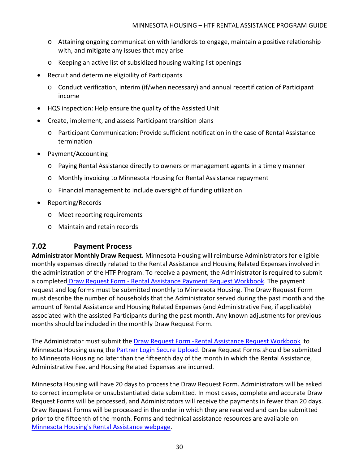- o Attaining ongoing communication with landlords to engage, maintain a positive relationship with, and mitigate any issues that may arise
- o Keeping an active list of subsidized housing waiting list openings
- Recruit and determine eligibility of Participants
	- o Conduct verification, interim (if/when necessary) and annual recertification of Participant income
- HQS inspection: Help ensure the quality of the Assisted Unit
- Create, implement, and assess Participant transition plans
	- o Participant Communication: Provide sufficient notification in the case of Rental Assistance termination
- Payment/Accounting
	- o Paying Rental Assistance directly to owners or management agents in a timely manner
	- o Monthly invoicing to Minnesota Housing for Rental Assistance repayment
	- o Financial management to include oversight of funding utilization
- Reporting/Records
	- o Meet reporting requirements
	- o Maintain and retain records

### <span id="page-31-0"></span>**7.02 Payment Process**

**Administrator Monthly Draw Request.** Minnesota Housing will reimburse Administrators for eligible monthly expenses directly related to the Rental Assistance and Housing Related Expenses involved in the administration of the HTF Program. To receive a payment, the Administrator is required to submit a completed Draw Request Form - [Rental Assistance Payment Request Workbook.](http://www.mnhousing.gov/download/MHFA_006593) The payment request and log forms must be submitted monthly to Minnesota Housing. The Draw Request Form must describe the number of households that the Administrator served during the past month and the amount of Rental Assistance and Housing Related Expenses (and Administrative Fee, if applicable) associated with the assisted Participants during the past month. Any known adjustments for previous months should be included in the monthly Draw Request Form.

The Administrator must submit the Draw Request Form [-Rental Assistance Request Workbook](http://www.mnhousing.gov/download/MHFA_006593) to Minnesota Housing using th[e Partner Login Secure Upload.](https://www.mnhousing.gov/sites/np/login) Draw Request Forms should be submitted to Minnesota Housing no later than the fifteenth day of the month in which the Rental Assistance, Administrative Fee, and Housing Related Expenses are incurred.

Minnesota Housing will have 20 days to process the Draw Request Form. Administrators will be asked to correct incomplete or unsubstantiated data submitted. In most cases, complete and accurate Draw Request Forms will be processed, and Administrators will receive the payments in fewer than 20 days. Draw Request Forms will be processed in the order in which they are received and can be submitted prior to the fifteenth of the month. Forms and technical assistance resources are available on [Minnesota Housing's Rental Assistance webpage.](https://www.mnhousing.gov/sites/multifamily/rentalassistance)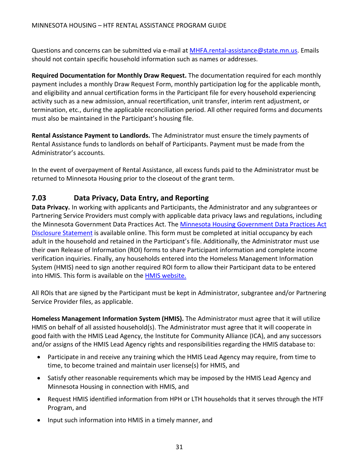Questions and concerns can be submitted via e-mail at [MHFA.rental-assistance@state.mn.us.](mailto:MHFA.rental-assistance@state.mn.us) Emails should not contain specific household information such as names or addresses.

**Required Documentation for Monthly Draw Request.** The documentation required for each monthly payment includes a monthly Draw Request Form, monthly participation log for the applicable month, and eligibility and annual certification forms in the Participant file for every household experiencing activity such as a new admission, annual recertification, unit transfer, interim rent adjustment, or termination, etc., during the applicable reconciliation period. All other required forms and documents must also be maintained in the Participant's housing file.

**Rental Assistance Payment to Landlords.** The Administrator must ensure the timely payments of Rental Assistance funds to landlords on behalf of Participants. Payment must be made from the Administrator's accounts.

In the event of overpayment of Rental Assistance, all excess funds paid to the Administrator must be returned to Minnesota Housing prior to the closeout of the grant term.

### <span id="page-32-0"></span>**7.03 Data Privacy, Data Entry, and Reporting**

**Data Privacy.** In working with applicants and Participants, the Administrator and any subgrantees or Partnering Service Providers must comply with applicable data privacy laws and regulations, including the Minnesota Government Data Practices Act. The [Minnesota Housing Government Data Practices Act](http://www.mnhousing.gov/download/MHFA_002380)  [Disclosure Statement](http://www.mnhousing.gov/download/MHFA_002380) is available online. This form must be completed at initial occupancy by each adult in the household and retained in the Participant's file. Additionally, the Administrator must use their own Release of Information (ROI) forms to share Participant information and complete income verification inquiries. Finally, any households entered into the Homeless Management Information System (HMIS) need to sign another required ROI form to allow their Participant data to be entered into HMIS. This form is available on the **HMIS website.** 

All ROIs that are signed by the Participant must be kept in Administrator, subgrantee and/or Partnering Service Provider files, as applicable.

**Homeless Management Information System (HMIS).** The Administrator must agree that it will utilize HMIS on behalf of all assisted household(s). The Administrator must agree that it will cooperate in good faith with the HMIS Lead Agency, the Institute for Community Alliance (ICA), and any successors and/or assigns of the HMIS Lead Agency rights and responsibilities regarding the HMIS database to:

- Participate in and receive any training which the HMIS Lead Agency may require, from time to time, to become trained and maintain user license(s) for HMIS, and
- Satisfy other reasonable requirements which may be imposed by the HMIS Lead Agency and Minnesota Housing in connection with HMIS, and
- Request HMIS identified information from HPH or LTH households that it serves through the HTF Program, and
- Input such information into HMIS in a timely manner, and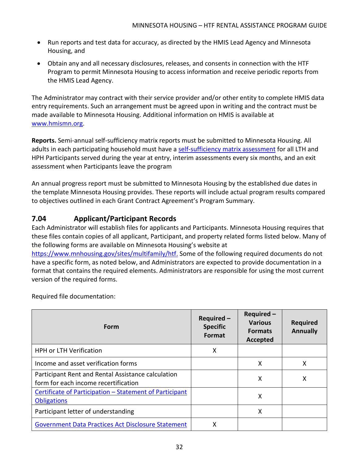- Run reports and test data for accuracy, as directed by the HMIS Lead Agency and Minnesota Housing, and
- Obtain any and all necessary disclosures, releases, and consents in connection with the HTF Program to permit Minnesota Housing to access information and receive periodic reports from the HMIS Lead Agency.

The Administrator may contract with their service provider and/or other entity to complete HMIS data entry requirements. Such an arrangement must be agreed upon in writing and the contract must be made available to Minnesota Housing. Additional information on HMIS is available at [www.hmismn.org.](http://www.hmismn.org/)

**Reports.** Semi-annual self-sufficiency matrix reports must be submitted to Minnesota Housing. All adults in each participating household must have a [self-sufficiency matrix assessment](https://www.hmismn.org/s/MN-Self-Sufficiency-Matrix-Short-Form.doc) for all LTH and HPH Participants served during the year at entry, interim assessments every six months, and an exit assessment when Participants leave the program

An annual progress report must be submitted to Minnesota Housing by the established due dates in the template Minnesota Housing provides. These reports will include actual program results compared to objectives outlined in each Grant Contract Agreement's Program Summary.

# <span id="page-33-0"></span>**7.04 Applicant/Participant Records**

Each Administrator will establish files for applicants and Participants. Minnesota Housing requires that these files contain copies of all applicant, Participant, and property related forms listed below. Many of the following forms are available on Minnesota Housing's website at [https://www.mnhousing.gov/sites/multifamily/htf.](https://www.mnhousing.gov/sites/multifamily/htf) Some of the following required documents do not have a specific form, as noted below, and Administrators are expected to provide documentation in a format that contains the required elements. Administrators are responsible for using the most current version of the required forms.

Required file documentation:

| Form                                                                                       | Required-<br><b>Specific</b><br><b>Format</b> | Required-<br><b>Various</b><br><b>Formats</b><br><b>Accepted</b> | <b>Required</b><br><b>Annually</b> |
|--------------------------------------------------------------------------------------------|-----------------------------------------------|------------------------------------------------------------------|------------------------------------|
| HPH or LTH Verification                                                                    | X                                             |                                                                  |                                    |
| Income and asset verification forms                                                        |                                               | x                                                                | x                                  |
| Participant Rent and Rental Assistance calculation<br>form for each income recertification |                                               | x                                                                | x                                  |
| Certificate of Participation - Statement of Participant<br><b>Obligations</b>              |                                               | χ                                                                |                                    |
| Participant letter of understanding                                                        |                                               | χ                                                                |                                    |
| <b>Government Data Practices Act Disclosure Statement</b>                                  | х                                             |                                                                  |                                    |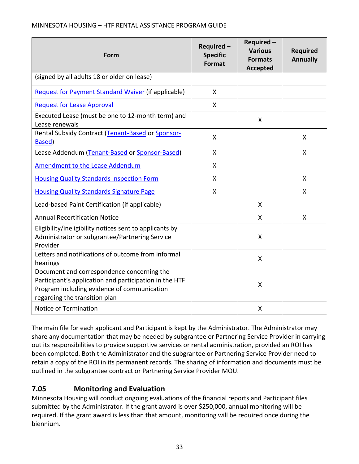| Form                                                                                                                                                                                 | Required-<br><b>Specific</b><br>Format | Required-<br><b>Various</b><br><b>Formats</b><br><b>Accepted</b> | <b>Required</b><br><b>Annually</b> |
|--------------------------------------------------------------------------------------------------------------------------------------------------------------------------------------|----------------------------------------|------------------------------------------------------------------|------------------------------------|
| (signed by all adults 18 or older on lease)                                                                                                                                          |                                        |                                                                  |                                    |
| <b>Request for Payment Standard Waiver (if applicable)</b>                                                                                                                           | X                                      |                                                                  |                                    |
| <b>Request for Lease Approval</b>                                                                                                                                                    | X                                      |                                                                  |                                    |
| Executed Lease (must be one to 12-month term) and<br>Lease renewals                                                                                                                  |                                        | X                                                                |                                    |
| Rental Subsidy Contract (Tenant-Based or Sponsor-<br>Based)                                                                                                                          | X                                      |                                                                  | $\mathsf{X}$                       |
| Lease Addendum (Tenant-Based or Sponsor-Based)                                                                                                                                       | $\boldsymbol{\mathsf{X}}$              |                                                                  | $\mathsf{X}$                       |
| <b>Amendment to the Lease Addendum</b>                                                                                                                                               | X                                      |                                                                  |                                    |
| <b>Housing Quality Standards Inspection Form</b>                                                                                                                                     | X                                      |                                                                  | $\mathsf{X}$                       |
| <b>Housing Quality Standards Signature Page</b>                                                                                                                                      | X                                      |                                                                  | $\mathsf{x}$                       |
| Lead-based Paint Certification (if applicable)                                                                                                                                       |                                        | X                                                                |                                    |
| <b>Annual Recertification Notice</b>                                                                                                                                                 |                                        | X                                                                | $\mathsf{X}$                       |
| Eligibility/ineligibility notices sent to applicants by<br>Administrator or subgrantee/Partnering Service<br>Provider                                                                |                                        | X                                                                |                                    |
| Letters and notifications of outcome from informal<br>hearings                                                                                                                       |                                        | X                                                                |                                    |
| Document and correspondence concerning the<br>Participant's application and participation in the HTF<br>Program including evidence of communication<br>regarding the transition plan |                                        | X                                                                |                                    |
| Notice of Termination                                                                                                                                                                |                                        | X                                                                |                                    |

The main file for each applicant and Participant is kept by the Administrator. The Administrator may share any documentation that may be needed by subgrantee or Partnering Service Provider in carrying out its responsibilities to provide supportive services or rental administration, provided an ROI has been completed. Both the Administrator and the subgrantee or Partnering Service Provider need to retain a copy of the ROI in its permanent records. The sharing of information and documents must be outlined in the subgrantee contract or Partnering Service Provider MOU.

# <span id="page-34-0"></span>**7.05 Monitoring and Evaluation**

Minnesota Housing will conduct ongoing evaluations of the financial reports and Participant files submitted by the Administrator. If the grant award is over \$250,000, annual monitoring will be required. If the grant award is less than that amount, monitoring will be required once during the biennium.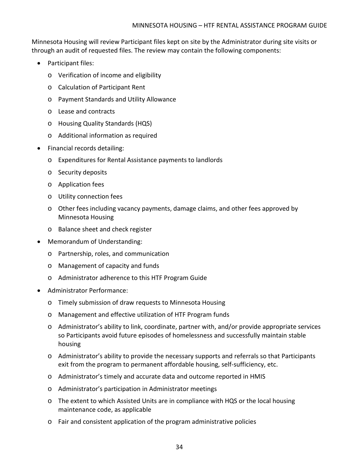Minnesota Housing will review Participant files kept on site by the Administrator during site visits or through an audit of requested files. The review may contain the following components:

- Participant files:
	- o Verification of income and eligibility
	- o Calculation of Participant Rent
	- o Payment Standards and Utility Allowance
	- o Lease and contracts
	- o Housing Quality Standards (HQS)
	- o Additional information as required
- Financial records detailing:
	- o Expenditures for Rental Assistance payments to landlords
	- o Security deposits
	- o Application fees
	- o Utility connection fees
	- o Other fees including vacancy payments, damage claims, and other fees approved by Minnesota Housing
	- o Balance sheet and check register
- Memorandum of Understanding:
	- o Partnership, roles, and communication
	- o Management of capacity and funds
	- o Administrator adherence to this HTF Program Guide
- Administrator Performance:
	- o Timely submission of draw requests to Minnesota Housing
	- o Management and effective utilization of HTF Program funds
	- o Administrator's ability to link, coordinate, partner with, and/or provide appropriate services so Participants avoid future episodes of homelessness and successfully maintain stable housing
	- o Administrator's ability to provide the necessary supports and referrals so that Participants exit from the program to permanent affordable housing, self-sufficiency, etc.
	- o Administrator's timely and accurate data and outcome reported in HMIS
	- o Administrator's participation in Administrator meetings
	- o The extent to which Assisted Units are in compliance with HQS or the local housing maintenance code, as applicable
	- o Fair and consistent application of the program administrative policies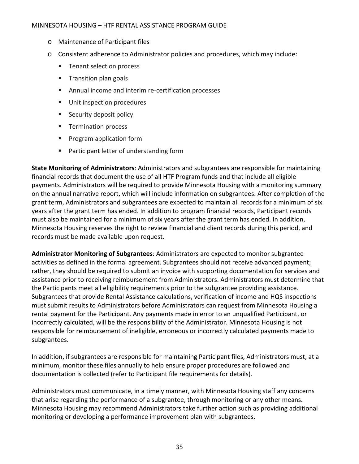#### MINNESOTA HOUSING – HTF RENTAL ASSISTANCE PROGRAM GUIDE

- o Maintenance of Participant files
- o Consistent adherence to Administrator policies and procedures, which may include:
	- Tenant selection process
	- **Transition plan goals**
	- Annual income and interim re-certification processes
	- **Unit inspection procedures**
	- **Security deposit policy**
	- **Termination process**
	- **Program application form**
	- Participant letter of understanding form

**State Monitoring of Administrators**: Administrators and subgrantees are responsible for maintaining financial records that document the use of all HTF Program funds and that include all eligible payments. Administrators will be required to provide Minnesota Housing with a monitoring summary on the annual narrative report, which will include information on subgrantees. After completion of the grant term, Administrators and subgrantees are expected to maintain all records for a minimum of six years after the grant term has ended. In addition to program financial records, Participant records must also be maintained for a minimum of six years after the grant term has ended. In addition, Minnesota Housing reserves the right to review financial and client records during this period, and records must be made available upon request.

**Administrator Monitoring of Subgrantees**: Administrators are expected to monitor subgrantee activities as defined in the formal agreement. Subgrantees should not receive advanced payment; rather, they should be required to submit an invoice with supporting documentation for services and assistance prior to receiving reimbursement from Administrators. Administrators must determine that the Participants meet all eligibility requirements prior to the subgrantee providing assistance. Subgrantees that provide Rental Assistance calculations, verification of income and HQS inspections must submit results to Administrators before Administrators can request from Minnesota Housing a rental payment for the Participant. Any payments made in error to an unqualified Participant, or incorrectly calculated, will be the responsibility of the Administrator. Minnesota Housing is not responsible for reimbursement of ineligible, erroneous or incorrectly calculated payments made to subgrantees.

In addition, if subgrantees are responsible for maintaining Participant files, Administrators must, at a minimum, monitor these files annually to help ensure proper procedures are followed and documentation is collected (refer to Participant file requirements for details).

Administrators must communicate, in a timely manner, with Minnesota Housing staff any concerns that arise regarding the performance of a subgrantee, through monitoring or any other means. Minnesota Housing may recommend Administrators take further action such as providing additional monitoring or developing a performance improvement plan with subgrantees.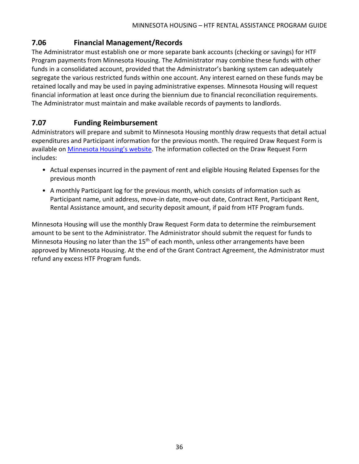### <span id="page-37-0"></span>**7.06 Financial Management/Records**

The Administrator must establish one or more separate bank accounts (checking or savings) for HTF Program payments from Minnesota Housing. The Administrator may combine these funds with other funds in a consolidated account, provided that the Administrator's banking system can adequately segregate the various restricted funds within one account. Any interest earned on these funds may be retained locally and may be used in paying administrative expenses. Minnesota Housing will request financial information at least once during the biennium due to financial reconciliation requirements. The Administrator must maintain and make available records of payments to landlords.

### <span id="page-37-1"></span>**7.07 Funding Reimbursement**

Administrators will prepare and submit to Minnesota Housing monthly draw requests that detail actual expenditures and Participant information for the previous month. The required Draw Request Form is available on [Minnesota Housing's website.](http://www.mnhousing.gov/sites/multifamily/rentalassistance) The information collected on the Draw Request Form includes:

- Actual expenses incurred in the payment of rent and eligible Housing Related Expenses for the previous month
- A monthly Participant log for the previous month, which consists of information such as Participant name, unit address, move-in date, move-out date, Contract Rent, Participant Rent, Rental Assistance amount, and security deposit amount, if paid from HTF Program funds.

Minnesota Housing will use the monthly Draw Request Form data to determine the reimbursement amount to be sent to the Administrator. The Administrator should submit the request for funds to Minnesota Housing no later than the  $15<sup>th</sup>$  of each month, unless other arrangements have been approved by Minnesota Housing. At the end of the Grant Contract Agreement, the Administrator must refund any excess HTF Program funds.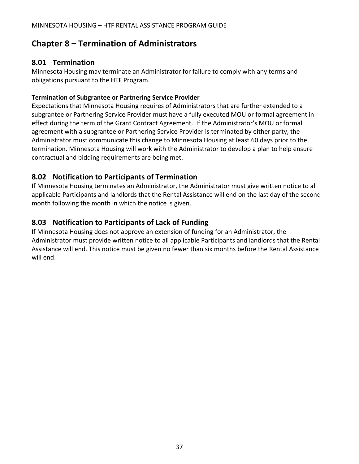# <span id="page-38-0"></span>**Chapter 8 – Termination of Administrators**

### <span id="page-38-1"></span>**8.01 Termination**

Minnesota Housing may terminate an Administrator for failure to comply with any terms and obligations pursuant to the HTF Program.

#### **Termination of Subgrantee or Partnering Service Provider**

Expectations that Minnesota Housing requires of Administrators that are further extended to a subgrantee or Partnering Service Provider must have a fully executed MOU or formal agreement in effect during the term of the Grant Contract Agreement. If the Administrator's MOU or formal agreement with a subgrantee or Partnering Service Provider is terminated by either party, the Administrator must communicate this change to Minnesota Housing at least 60 days prior to the termination. Minnesota Housing will work with the Administrator to develop a plan to help ensure contractual and bidding requirements are being met.

### <span id="page-38-2"></span>**8.02 Notification to Participants of Termination**

If Minnesota Housing terminates an Administrator, the Administrator must give written notice to all applicable Participants and landlords that the Rental Assistance will end on the last day of the second month following the month in which the notice is given.

### <span id="page-38-3"></span>**8.03 Notification to Participants of Lack of Funding**

If Minnesota Housing does not approve an extension of funding for an Administrator, the Administrator must provide written notice to all applicable Participants and landlords that the Rental Assistance will end. This notice must be given no fewer than six months before the Rental Assistance will end.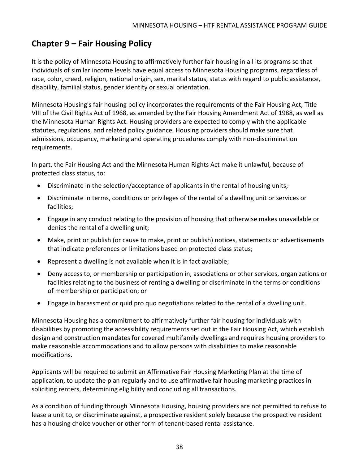# <span id="page-39-0"></span>**Chapter 9 – Fair Housing Policy**

It is the policy of Minnesota Housing to affirmatively further fair housing in all its programs so that individuals of similar income levels have equal access to Minnesota Housing programs, regardless of race, color, creed, religion, national origin, sex, marital status, status with regard to public assistance, disability, familial status, gender identity or sexual orientation.

Minnesota Housing's fair housing policy incorporates the requirements of the Fair Housing Act, Title VIII of the Civil Rights Act of 1968, as amended by the Fair Housing Amendment Act of 1988, as well as the Minnesota Human Rights Act. Housing providers are expected to comply with the applicable statutes, regulations, and related policy guidance. Housing providers should make sure that admissions, occupancy, marketing and operating procedures comply with non-discrimination requirements.

In part, the Fair Housing Act and the Minnesota Human Rights Act make it unlawful, because of protected class status, to:

- Discriminate in the selection/acceptance of applicants in the rental of housing units;
- Discriminate in terms, conditions or privileges of the rental of a dwelling unit or services or facilities;
- Engage in any conduct relating to the provision of housing that otherwise makes unavailable or denies the rental of a dwelling unit;
- Make, print or publish (or cause to make, print or publish) notices, statements or advertisements that indicate preferences or limitations based on protected class status;
- Represent a dwelling is not available when it is in fact available;
- Deny access to, or membership or participation in, associations or other services, organizations or facilities relating to the business of renting a dwelling or discriminate in the terms or conditions of membership or participation; or
- Engage in harassment or quid pro quo negotiations related to the rental of a dwelling unit.

Minnesota Housing has a commitment to affirmatively further fair housing for individuals with disabilities by promoting the accessibility requirements set out in the Fair Housing Act, which establish design and construction mandates for covered multifamily dwellings and requires housing providers to make reasonable accommodations and to allow persons with disabilities to make reasonable modifications.

Applicants will be required to submit an Affirmative Fair Housing Marketing Plan at the time of application, to update the plan regularly and to use affirmative fair housing marketing practices in soliciting renters, determining eligibility and concluding all transactions.

As a condition of funding through Minnesota Housing, housing providers are not permitted to refuse to lease a unit to, or discriminate against, a prospective resident solely because the prospective resident has a housing choice voucher or other form of tenant-based rental assistance.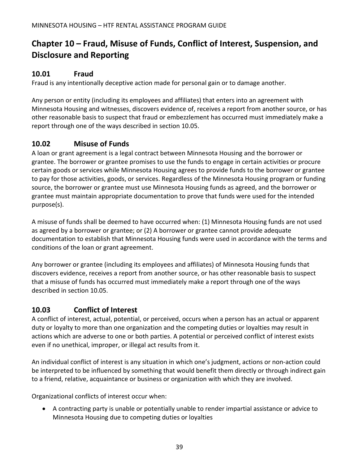# <span id="page-40-0"></span>**Chapter 10 – Fraud, Misuse of Funds, Conflict of Interest, Suspension, and Disclosure and Reporting**

### <span id="page-40-1"></span>**10.01 Fraud**

Fraud is any intentionally deceptive action made for personal gain or to damage another.

Any person or entity (including its employees and affiliates) that enters into an agreement with Minnesota Housing and witnesses, discovers evidence of, receives a report from another source, or has other reasonable basis to suspect that fraud or embezzlement has occurred must immediately make a report through one of the ways described in section 10.05.

### <span id="page-40-2"></span>**10.02 Misuse of Funds**

A loan or grant agreement is a legal contract between Minnesota Housing and the borrower or grantee. The borrower or grantee promises to use the funds to engage in certain activities or procure certain goods or services while Minnesota Housing agrees to provide funds to the borrower or grantee to pay for those activities, goods, or services. Regardless of the Minnesota Housing program or funding source, the borrower or grantee must use Minnesota Housing funds as agreed, and the borrower or grantee must maintain appropriate documentation to prove that funds were used for the intended purpose(s).

A misuse of funds shall be deemed to have occurred when: (1) Minnesota Housing funds are not used as agreed by a borrower or grantee; or (2) A borrower or grantee cannot provide adequate documentation to establish that Minnesota Housing funds were used in accordance with the terms and conditions of the loan or grant agreement.

Any borrower or grantee (including its employees and affiliates) of Minnesota Housing funds that discovers evidence, receives a report from another source, or has other reasonable basis to suspect that a misuse of funds has occurred must immediately make a report through one of the ways described in section 10.05.

# <span id="page-40-3"></span>**10.03 Conflict of Interest**

A conflict of interest, actual, potential, or perceived, occurs when a person has an actual or apparent duty or loyalty to more than one organization and the competing duties or loyalties may result in actions which are adverse to one or both parties. A potential or perceived conflict of interest exists even if no unethical, improper, or illegal act results from it.

An individual conflict of interest is any situation in which one's judgment, actions or non-action could be interpreted to be influenced by something that would benefit them directly or through indirect gain to a friend, relative, acquaintance or business or organization with which they are involved.

Organizational conflicts of interest occur when:

• A contracting party is unable or potentially unable to render impartial assistance or advice to Minnesota Housing due to competing duties or loyalties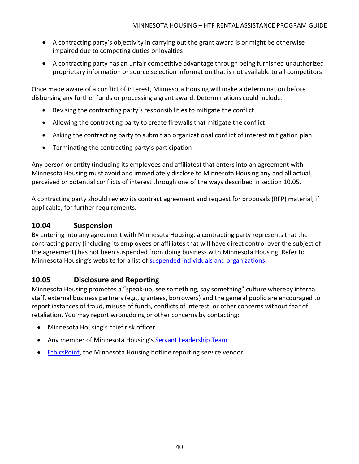- A contracting party's objectivity in carrying out the grant award is or might be otherwise impaired due to competing duties or loyalties
- A contracting party has an unfair competitive advantage through being furnished unauthorized proprietary information or source selection information that is not available to all competitors

Once made aware of a conflict of interest, Minnesota Housing will make a determination before disbursing any further funds or processing a grant award. Determinations could include:

- Revising the contracting party's responsibilities to mitigate the conflict
- Allowing the contracting party to create firewalls that mitigate the conflict
- Asking the contracting party to submit an organizational conflict of interest mitigation plan
- Terminating the contracting party's participation

Any person or entity (including its employees and affiliates) that enters into an agreement with Minnesota Housing must avoid and immediately disclose to Minnesota Housing any and all actual, perceived or potential conflicts of interest through one of the ways described in section 10.05.

A contracting party should review its contract agreement and request for proposals (RFP) material, if applicable, for further requirements.

### <span id="page-41-0"></span>**10.04 Suspension**

By entering into any agreement with Minnesota Housing, a contracting party represents that the contracting party (including its employees or affiliates that will have direct control over the subject of the agreement) has not been suspended from doing business with Minnesota Housing. Refer to Minnesota Housing's website for a list of [suspended individuals and organizations.](https://www.mnhousing.gov/sites/np/suspensions)

### <span id="page-41-1"></span>**10.05 Disclosure and Reporting**

Minnesota Housing promotes a "speak-up, see something, say something" culture whereby internal staff, external business partners (e.g., grantees, borrowers) and the general public are encouraged to report instances of fraud, misuse of funds, conflicts of interest, or other concerns without fear of retaliation. You may report wrongdoing or other concerns by contacting:

- Minnesota Housing's chief risk officer
- Any member of Minnesota Housing's [Servant Leadership Team](https://www.mnhousing.gov/sites/np/leadership)
- [EthicsPoint,](https://secure.ethicspoint.com/domain/media/en/gui/30639/index.html) the Minnesota Housing hotline reporting service vendor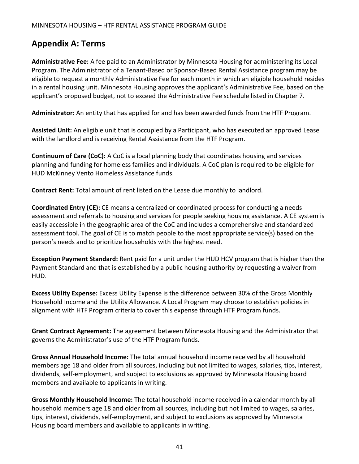# <span id="page-42-0"></span>**Appendix A: Terms**

**Administrative Fee:** A fee paid to an Administrator by Minnesota Housing for administering its Local Program. The Administrator of a Tenant-Based or Sponsor-Based Rental Assistance program may be eligible to request a monthly Administrative Fee for each month in which an eligible household resides in a rental housing unit. Minnesota Housing approves the applicant's Administrative Fee, based on the applicant's proposed budget, not to exceed the Administrative Fee schedule listed in Chapter 7.

**Administrator:** An entity that has applied for and has been awarded funds from the HTF Program.

**Assisted Unit:** An eligible unit that is occupied by a Participant, who has executed an approved Lease with the landlord and is receiving Rental Assistance from the HTF Program.

**Continuum of Care (CoC):** A CoC is a local planning body that coordinates housing and services planning and funding for homeless families and individuals. A CoC plan is required to be eligible for HUD McKinney Vento Homeless Assistance funds.

**Contract Rent:** Total amount of rent listed on the Lease due monthly to landlord.

**Coordinated Entry (CE):** CE means a centralized or coordinated process for conducting a needs assessment and referrals to housing and services for people seeking housing assistance. A CE system is easily accessible in the geographic area of the CoC and includes a comprehensive and standardized assessment tool. The goal of CE is to match people to the most appropriate service(s) based on the person's needs and to prioritize households with the highest need.

**Exception Payment Standard:** Rent paid for a unit under the HUD HCV program that is higher than the Payment Standard and that is established by a public housing authority by requesting a waiver from HUD.

**Excess Utility Expense:** Excess Utility Expense is the difference between 30% of the Gross Monthly Household Income and the Utility Allowance. A Local Program may choose to establish policies in alignment with HTF Program criteria to cover this expense through HTF Program funds.

**Grant Contract Agreement:** The agreement between Minnesota Housing and the Administrator that governs the Administrator's use of the HTF Program funds.

**Gross Annual Household Income:** The total annual household income received by all household members age 18 and older from all sources, including but not limited to wages, salaries, tips, interest, dividends, self-employment, and subject to exclusions as approved by Minnesota Housing board members and available to applicants in writing.

**Gross Monthly Household Income:** The total household income received in a calendar month by all household members age 18 and older from all sources, including but not limited to wages, salaries, tips, interest, dividends, self-employment, and subject to exclusions as approved by Minnesota Housing board members and available to applicants in writing.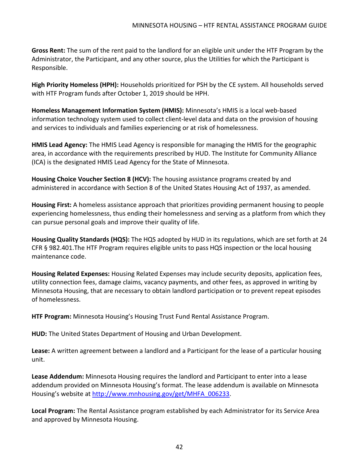**Gross Rent:** The sum of the rent paid to the landlord for an eligible unit under the HTF Program by the Administrator, the Participant, and any other source, plus the Utilities for which the Participant is Responsible.

**High Priority Homeless (HPH):** Households prioritized for PSH by the CE system. All households served with HTF Program funds after October 1, 2019 should be HPH.

**Homeless Management Information System (HMIS):** Minnesota's HMIS is a local web-based information technology system used to collect client-level data and data on the provision of housing and services to individuals and families experiencing or at risk of homelessness.

**HMIS Lead Agency:** The HMIS Lead Agency is responsible for managing the HMIS for the geographic area, in accordance with the requirements prescribed by HUD. The Institute for Community Alliance (ICA) is the designated HMIS Lead Agency for the State of Minnesota.

**Housing Choice Voucher Section 8 (HCV):** The housing assistance programs created by and administered in accordance with Section 8 of the United States Housing Act of 1937, as amended.

**Housing First:** A homeless assistance approach that prioritizes providing permanent housing to people experiencing homelessness, thus ending their homelessness and serving as a platform from which they can pursue personal goals and improve their quality of life.

**Housing Quality Standards (HQS):** The HQS adopted by HUD in its regulations, which are set forth at 24 CFR § 982.401.The HTF Program requires eligible units to pass HQS inspection or the local housing maintenance code.

**Housing Related Expenses:** Housing Related Expenses may include security deposits, application fees, utility connection fees, damage claims, vacancy payments, and other fees, as approved in writing by Minnesota Housing, that are necessary to obtain landlord participation or to prevent repeat episodes of homelessness.

**HTF Program:** Minnesota Housing's Housing Trust Fund Rental Assistance Program.

**HUD:** The United States Department of Housing and Urban Development.

**Lease:** A written agreement between a landlord and a Participant for the lease of a particular housing unit.

**Lease Addendum:** Minnesota Housing requires the landlord and Participant to enter into a lease addendum provided on Minnesota Housing's format. The lease addendum is available on Minnesota Housing's website at [http://www.mnhousing.gov/get/MHFA\\_006233.](http://www.mnhousing.gov/get/MHFA_006233)

**Local Program:** The Rental Assistance program established by each Administrator for its Service Area and approved by Minnesota Housing.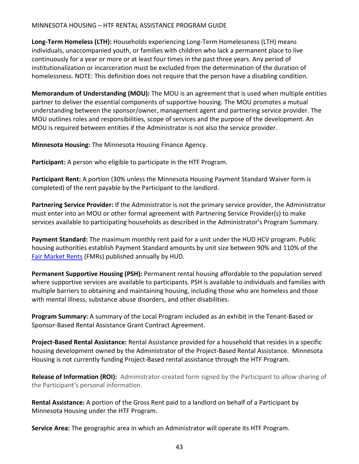#### MINNESOTA HOUSING – HTF RENTAL ASSISTANCE PROGRAM GUIDE

**Long-Term Homeless (LTH):** Households experiencing Long-Term Homelessness (LTH) means individuals, unaccompanied youth, or families with children who lack a permanent place to live continuously for a year or more or at least four times in the past three years. Any period of institutionalization or incarceration must be excluded from the determination of the duration of homelessness. NOTE: This definition does not require that the person have a disabling condition.

**Memorandum of Understanding (MOU):** The MOU is an agreement that is used when multiple entities partner to deliver the essential components of supportive housing. The MOU promotes a mutual understanding between the sponsor/owner, management agent and partnering service provider. The MOU outlines roles and responsibilities, scope of services and the purpose of the development. An MOU is required between entities if the Administrator is not also the service provider.

**Minnesota Housing:** The Minnesota Housing Finance Agency.

**Participant:** A person who eligible to participate in the HTF Program.

**Participant Rent:** A portion (30% unless the Minnesota Housing Payment Standard Waiver form is completed) of the rent payable by the Participant to the landlord.

**Partnering Service Provider:** If the Administrator is not the primary service provider, the Administrator must enter into an MOU or other formal agreement with Partnering Service Provider(s) to make services available to participating households as described in the Administrator's Program Summary.

**Payment Standard:** The maximum monthly rent paid for a unit under the HUD HCV program. Public housing authorities establish Payment Standard amounts by unit size between 90% and 110% of the [Fair Market Rents](https://www.huduser.gov/portal/datasets/fmr/fmrs/FY2021_code/select_Geography.odn) (FMRs) published annually by HUD.

**Permanent Supportive Housing (PSH):** Permanent rental housing affordable to the population served where supportive services are available to participants. PSH is available to individuals and families with multiple barriers to obtaining and maintaining housing, including those who are homeless and those with mental illness, substance abuse disorders, and other disabilities.

**Program Summary:** A summary of the Local Program included as an exhibit in the Tenant-Based or Sponsor-Based Rental Assistance Grant Contract Agreement.

**Project-Based Rental Assistance:** Rental Assistance provided for a household that resides in a specific housing development owned by the Administrator of the Project-Based Rental Assistance. Minnesota Housing is not currently funding Project-Based rental assistance through the HTF Program.

**Release of Information (ROI):** Administrator-created form signed by the Participant to allow sharing of the Participant's personal information.

**Rental Assistance:** A portion of the Gross Rent paid to a landlord on behalf of a Participant by Minnesota Housing under the HTF Program.

**Service Area:** The geographic area in which an Administrator will operate its HTF Program.